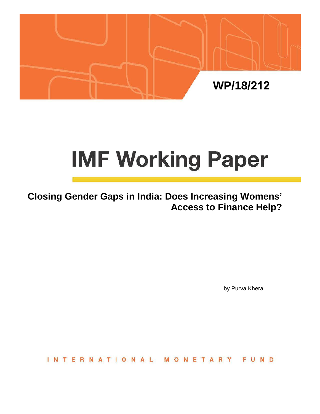

# **IMF Working Paper**

# **Closing Gender Gaps in India: Does Increasing Womens' Access to Finance Help?**

by Purva Khera

**INTERNATIONAL** ONETAR FUND M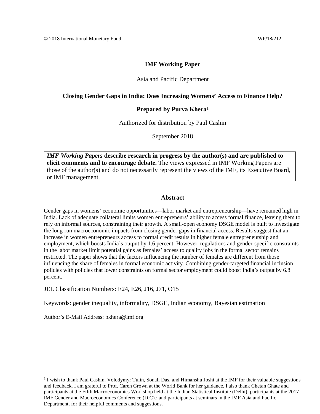#### **IMF Working Paper**

#### Asia and Pacific Department

#### **Closing Gender Gaps in India: Does Increasing Womens' Access to Finance Help?**

#### **Prepared by Purva Khera[1](#page-1-0)**

Authorized for distribution by Paul Cashin

September 2018

*IMF Working Papers* **describe research in progress by the author(s) and are published to elicit comments and to encourage debate.** The views expressed in IMF Working Papers are those of the author(s) and do not necessarily represent the views of the IMF, its Executive Board, or IMF management.

#### **Abstract**

Gender gaps in womens' economic opportunities—labor market and entrepreneurship—have remained high in India. Lack of adequate collateral limits women entrepreneurs' ability to access formal finance, leaving them to rely on informal sources, constraining their growth. A small-open economy DSGE model is built to investigate the long-run macroeconomic impacts from closing gender gaps in financial access. Results suggest that an increase in women entrepreneurs access to formal credit results in higher female entrepreneurship and employment, which boosts India's output by 1.6 percent. However, regulations and gender-specific constraints in the labor market limit potential gains as females' access to quality jobs in the formal sector remains restricted. The paper shows that the factors influencing the number of females are different from those influencing the share of females in formal economic activity. Combining gender-targeted financial inclusion policies with policies that lower constraints on formal sector employment could boost India's output by 6.8 percent.

JEL Classification Numbers: E24, E26, J16, J71, O15

Keywords: gender inequality, informality, DSGE, Indian economy, Bayesian estimation

Author's E-Mail Address: pkhera@imf.org

<span id="page-1-0"></span><sup>&</sup>lt;sup>1</sup> I wish to thank Paul Cashin, Volodymyr Tulin, Sonali Das, and Himanshu Joshi at the IMF for their valuable suggestions and feedback. I am grateful to Prof. Caren Grown at the World Bank for her guidance. I also thank Chetan Ghate and participants at the Fifth Macroeconomics Workshop held at the Indian Statistical Institute (Delhi); participants at the 2017 IMF Gender and Macroeconomics Conference (D.C).; and participants at seminars in the IMF Asia and Pacific Department, for their helpful comments and suggestions.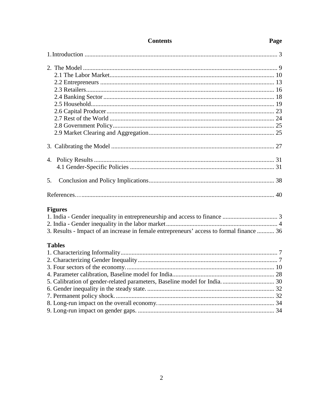| 5.                                                                                       |
|------------------------------------------------------------------------------------------|
|                                                                                          |
| <b>Figures</b>                                                                           |
|                                                                                          |
|                                                                                          |
| 3. Results - Impact of an increase in female entrepreneurs' access to formal finance  36 |
| <b>Tables</b>                                                                            |
|                                                                                          |
|                                                                                          |
|                                                                                          |
|                                                                                          |
|                                                                                          |
|                                                                                          |
|                                                                                          |
|                                                                                          |
|                                                                                          |

# **Contents**

# Page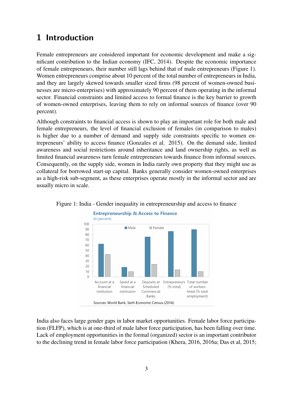# **1 Introduction**

Female entrepreneurs are considered important for economic development and make a significant contribution to the Indian economy (IFC, 2014). Despite the economic importance of female entrepreneurs, their number still lags behind that of male entrepreneurs (Figure 1). Women entrepreneurs comprise about 10 percent of the total number of entrepreneurs in India, and they are largely skewed towards smaller sized firms (98 percent of women-owned businesses are micro-enterprises) with approximately 90 percent of them operating in the informal sector. Financial constraints and limited access to formal finance is the key barrier to growth of women-owned enterprises, leaving them to rely on informal sources of finance (over 90 percent).

Although constraints to financial access is shown to play an important role for both male and female entrepreneurs, the level of financial exclusion of females (in comparison to males) is higher due to a number of demand and supply side constraints specific to women entrepreneurs' ability to access finance (Gonzales et al. 2015). On the demand side, limited awareness and social restrictions around inheritance and land ownership rights, as well as limited financial awareness turn female entrepreneurs towards finance from informal sources. Consequently, on the supply side, women in India rarely own property that they might use as collateral for borrowed start-up capital. Banks generally consider women-owned enterprises as a high-risk sub-segment, as these enterprises operate mostly in the informal sector and are usually micro in scale.





India also faces large gender gaps in labor market opportunities. Female labor force participation (FLFP), which is at one-third of male labor force participation, has been falling over time. Lack of employment opportunities in the formal (organized) sector is an important contributor to the declining trend in female labor force participation (Khera, 2016, 2016a; Das et al, 2015;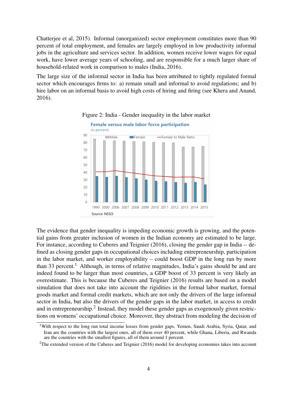Chatterjee et al, 2015). Informal (unorganized) sector employment constitutes more than 90 percent of total employment, and females are largely employed in low productivity informal jobs in the agriculture and services sector. In addition, women receive lower wages for equal work, have lower average years of schooling, and are responsible for a much larger share of household-related work in comparison to males (India, 2016).

The large size of the informal sector in India has been attributed to tightly regulated formal sector which encourages firms to: a) remain small and informal to avoid regulations; and b) hire labor on an informal basis to avoid high costs of hiring and firing (see Khera and Anand, 2016).





The evidence that gender inequality is impeding economic growth is growing, and the potential gains from greater inclusion of women in the Indian economy are estimated to be large. For instance, according to Cuberes and Teignier (2016), closing the gender gap in India -- defined as closing gender gaps in occupational choices including entrepreneurship, participation in the labor market, and worker employability – could boost GDP in the long run by more than 33 percent.<sup>1</sup> Although, in terms of relative magnitudes, India's gains should be and are indeed found to be larger than most countries, a GDP boost of 33 percent is very likely an overestimate. This is because the Cuberes and Teignier (2016) results are based on a model simulation that does not take into account the rigidities in the formal labor market, formal goods market and formal credit markets, which are not only the drivers of the large informal sector in India, but also the drivers of the gender gaps in the labor market, in access to credit and in entrepreneurship.<sup>2</sup> Instead, they model these gender gaps as exogenously given restrictions on womens' occupational choice. Moreover, they abstract from modeling the decision of

<sup>&</sup>lt;sup>1</sup>With respect to the long run total income losses from gender gaps, Yemen, Saudi Arabia, Syria, Qatar, and Iran are the countries with the largest ones, all of them over 40 percent, while Ghana, Liberia, and Rwanda are the countries with the smallest figures, all of them around 1 percent.

<sup>&</sup>lt;sup>2</sup>The extended version of the Cuberes and Teignier (2016) model for developing economies takes into account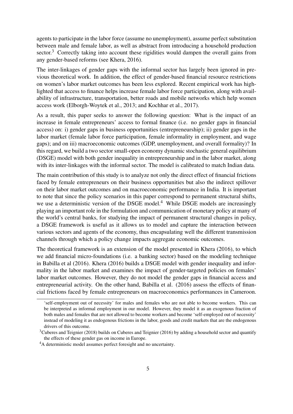agents to participate in the labor force (assume no unemployment), assume perfect substitution between male and female labor, as well as abstract from introducing a household production sector.<sup>3</sup> Correctly taking into account these rigidities would dampen the overall gains from any gender-based reforms (see Khera, 2016).

The inter-linkages of gender gaps with the informal sector has largely been ignored in previous theoretical work. In addition, the effect of gender-based financial resource restrictions on women's labor market outcomes has been less explored. Recent empirical work has highlighted that access to finance helps increase female labor force participation, along with availability of infrastructure, transportation, better roads and mobile networks which help women access work (Elborgh-Woytek et al., 2013; and Kochhar et al., 2017).

As a result, this paper seeks to answer the following question: What is the impact of an increase in female entrepreneurs' access to formal finance (i.e. no gender gaps in financial access) on: i) gender gaps in business opportunities (entrepreneurship); ii) gender gaps in the labor market (female labor force participation, female informality in employment, and wage gaps); and on iii) macroeconomic outcomes (GDP, unemployment, and overall formality)? In this regard, we build a two sector small-open economy dynamic stochastic general equilibrium (DSGE) model with both gender inequality in entrepreneurship and in the labor market, along with its inter-linkages with the informal sector. The model is calibrated to match Indian data.

The main contribution of this study is to analyze not only the direct effect of financial frictions faced by female entrepreneurs on their business opportunities but also the indirect spillover on their labor market outcomes and on macroeconomic performance in India. It is important to note that since the policy scenarios in this paper correspond to permanent structural shifts, we use a deterministic version of the DSGE model.<sup>4</sup> While DSGE models are increasingly playing an important role in the formulation and communication of monetary policy at many of the world's central banks, for studying the impact of permanent structural changes in policy, a DSGE framework is useful as it allows us to model and capture the interaction between various sectors and agents of the economy, thus encapsulating well the different transmission channels through which a policy change impacts aggregate economic outcomes.

The theoretical framework is an extension of the model presented in Khera (2016), to which we add financial micro-foundations (i.e. a banking sector) based on the modeling technique in Babilla et al (2016). Khera (2016) builds a DSGE model with gender inequality and informality in the labor market and examines the impact of gender-targeted policies on females' labor market outcomes. However, they do not model the gender gaps in financial access and entrepreneurial activity. On the other hand, Babilla et al. (2016) assess the effects of financial frictions faced by female entrepreneurs on macroeconomics performances in Cameroon.

<sup>&#</sup>x27;self-employment out of necessity' for males and females who are not able to become workers. This can be interpreted as informal employment in our model. However, they model it as an exogenous fraction of both males and females that are not allowed to become workers and become 'self-employed out of necessity' instead of modeling it as endogenous frictions in the labor, goods and credit markets that are the endogenous drivers of this outcome.

<sup>&</sup>lt;sup>3</sup>Cuberes and Teignier (2018) builds on Cuberes and Teignier (2016) by adding a household sector and quantify the effects of these gender gas on income in Europe.

<sup>4</sup>A deterministic model assumes perfect foresight and no uncertainty.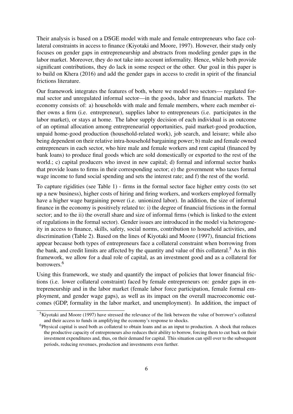Their analysis is based on a DSGE model with male and female entrepreneurs who face collateral constraints in access to finance (Kiyotaki and Moore, 1997). However, their study only focuses on gender gaps in entrepreneurship and abstracts from modeling gender gaps in the labor market. Moreover, they do not take into account informality. Hence, while both provide significant contributions, they do lack in some respect or the other. Our goal in this paper is to build on Khera (2016) and add the gender gaps in access to credit in spirit of the financial frictions literature.

Our framework integrates the features of both, where we model two sectors— regulated formal sector and unregulated informal sector—in the goods, labor and financial markets. The economy consists of: a) households with male and female members, where each member either owns a firm (i.e. entrepreneur), supplies labor to entrepreneurs (i.e. participates in the labor market), or stays at home. The labor supply decision of each individual is an outcome of an optimal allocation among entrepreneurial opportunities, paid market-good production, unpaid home-good production (household-related work), job search, and leisure; while also being dependent on their relative intra-household bargaining power; b) male and female owned entrepreneurs in each sector, who hire male and female workers and rent capital (financed by bank loans) to produce final goods which are sold domestically or exported to the rest of the world.; c) capital producers who invest in new capital; d) formal and informal sector banks that provide loans to firms in their corresponding sector; e) the government who taxes formal wage income to fund social spending and sets the interest rate; and f) the rest of the world.

To capture rigidities (see Table 1) - firms in the formal sector face higher entry costs (to set up a new business), higher costs of hiring and firing workers, and workers employed formally have a higher wage bargaining power (i.e. unionized labor). In addition, the size of informal finance in the economy is positively related to: i) the degree of financial frictions in the formal sector; and to the ii) the overall share and size of informal firms (which is linked to the extent of regulations in the formal sector). Gender issues are introduced in the model via heterogeneity in access to finance, skills, safety, social norms, contribution to household activities, and discrimination (Table 2). Based on the lines of Kiyotaki and Moore (1997), financial frictions appear because both types of entrepreneurs face a collateral constraint when borrowing from the bank, and credit limits are affected by the quantity and value of this collateral.<sup>5</sup> As in this framework, we allow for a dual role of capital, as an investment good and as a collateral for borrowers.<sup>6</sup>

Using this framework, we study and quantify the impact of policies that lower financial frictions (i.e. lower collateral constraint) faced by female entrepreneurs on: gender gaps in entrepreneurship and in the labor market (female labor force participation, female formal employment, and gender wage gaps), as well as its impact on the overall macroeconomic outcomes (GDP, formality in the labor market, and unemployment). In addition, the impact of

<sup>&</sup>lt;sup>5</sup>Kiyotaki and Moore (1997) have stressed the relevance of the link between the value of borrower's collateral and their access to funds in amplifying the economy's response to shocks.

<sup>&</sup>lt;sup>6</sup>Physical capital is used both as collateral to obtain loans and as an input to production. A shock that reduces the productive capacity of entrepreneurs also reduces their ability to borrow, forcing them to cut back on their investment expenditures and, thus, on their demand for capital. This situation can spill over to the subsequent periods, reducing revenues, production and investments even further.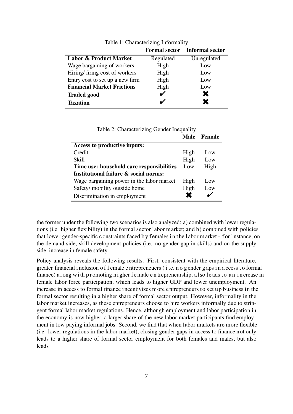|                                   | <b>Formal sector</b> | <b>Informal sector</b> |
|-----------------------------------|----------------------|------------------------|
| <b>Labor &amp; Product Market</b> | Regulated            | Unregulated            |
| Wage bargaining of workers        | High                 | Low                    |
| Hiring/firing cost of workers     | High                 | Low                    |
| Entry cost to set up a new firm   | High                 | Low                    |
| <b>Financial Market Frictions</b> | High                 | Low                    |
| <b>Traded good</b>                |                      | X                      |
| <b>Taxation</b>                   |                      |                        |

Table 1: Characterizing Informality

|                                           |      | Male Female     |
|-------------------------------------------|------|-----------------|
| Access to productive inputs:              |      |                 |
| Credit                                    | High | Low             |
| Skill                                     | High | Low             |
| Time use: household care responsibilities | Low  | High            |
| Institutional failure & social norms:     |      |                 |
| Wage bargaining power in the labor market | High | L <sub>ow</sub> |
| Safety/ mobility outside home             | High | Low             |
| Discrimination in employment              |      |                 |

Table 2: Characterizing Gender Inequality

the former under the following two scenarios is also analyzed: a) combined with lower regulations (i.e. higher flexibility) in the formal sector labor market; and b) combined with policies that lower gender-specific constraints f aced b y f emales in the l abor market - for i nstance, on the demand side, skill development policies (i.e. no gender gap in skills) and on the supply side, increase in female safety.

Policy analysis reveals the following results. First, consistent with the empirical literature, greater financial i nclusion o f f emale e ntrepreneuers ( i .e. n o g ender g aps i n a ccess t o formal finance) a l ong with p r omoting h i gher f e male e n trepreneurship, a l so l e ads to an increase in female labor force participation, which leads to higher GDP and lower unemployment. An increase in access to formal finance incentivizes m ore entrepreneurs to set up business in the formal sector resulting in a higher share of formal sector output. However, informality in the labor market increases, as these entrepreneurs choose to hire workers informally due to stringent formal labor market regulations. Hence, although employment and labor participation in the economy is now higher, a larger share of the new labor market participants find employment in low paying informal jobs. Second, we find that when labor markets are more flexible (i.e. lower regulations in the labor market), closing gender gaps in access to finance not only leads to a higher share of formal sector employment for both females and males, but also leads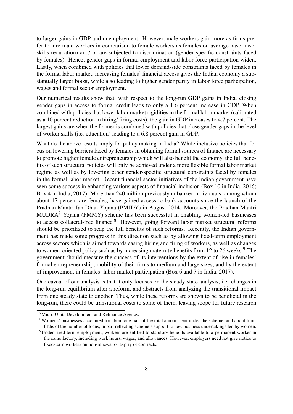to larger gains in GDP and unemployment. However, male workers gain more as firms prefer to hire male workers in comparison to female workers as females on average have lower skills (education) and/ or are subjected to discrimination (gender specific constraints faced by females). Hence, gender gaps in formal employment and labor force participation widen. Lastly, when combined with policies that lower demand-side constraints faced by females in the formal labor market, increasing females' financial access gives the Indian economy a substantially larger boost, while also leading to higher gender parity in labor force participation, wages and formal sector employment.

Our numerical results show that, with respect to the long-run GDP gains in India, closing gender gaps in access to formal credit leads to only a 1.6 percent increase in GDP. When combined with policies that lower labor market rigidities in the formal labor market (calibrated as a 10 percent reduction in hiring/ firing costs), the gain in GDP increases to 4.7 percent. The largest gains are when the former is combined with policies that close gender gaps in the level of worker skills (i.e. education) leading to a 6.8 percent gain in GDP.

What do the above results imply for policy making in India? While inclusive policies that focus on lowering barriers faced by females in obtaining formal sources of finance are necessary to promote higher female entrepreneurship which will also benefit the economy, the full benefits of such structural policies will only be achieved under a more flexible formal labor market regime as well as by lowering other gender-specific structural constraints faced by females in the formal labor market. Recent financial sector initiatives of the Indian government have seen some success in enhancing various aspects of financial inclusion (Box 10 in India, 2016; Box 4 in India, 2017). More than 240 million previously unbanked individuals, among whom about 47 percent are females, have gained access to bank accounts since the launch of the Pradhan Mantri Jan Dhan Yojana (PMJDY) in August 2014. Moreover, the Pradhan Mantri  $MUDRA<sup>7</sup>$  Yojana (PMMY) scheme has been successful in enabling women-led businesses to access collateral-free finance.<sup>8</sup> However, going forward labor market structural reforms should be prioritized to reap the full benefits of such reforms. Recently, the Indian government has made some progress in this direction such as by allowing fixed-term employment across sectors which is aimed towards easing hiring and firing of workers, as well as changes to women-oriented policy such as by increasing maternity benefits from 12 to 26 weeks.<sup>9</sup> The government should measure the success of its interventions by the extent of rise in females' formal entrepreneurship, mobility of their firms to medium and large sizes, and by the extent of improvement in females' labor market participation (Box 6 and 7 in India, 2017).

One caveat of our analysis is that it only focuses on the steady-state analysis, i.e. changes in the long-run equilibrium after a reform, and abstracts from analyzing the transitional impact from one steady state to another. Thus, while these reforms are shown to be beneficial in the long-run, there could be transitional costs to some of them, leaving scope for future research

<sup>7</sup>Micro Units Development and Refinance Agency.

<sup>8</sup>Womens' businesses accounted for about one-half of the total amount lent under the scheme, and about fourfifths of the number of loans, in part reflecting scheme's support to new business undertakings led by women.

<sup>&</sup>lt;sup>9</sup>Under fixed-term employment, workers are entitled to statutory benefits available to a permanent worker in the same factory, including work hours, wages, and allowances. However, employers need not give notice to fixed-term workers on non-renewal or expiry of contracts.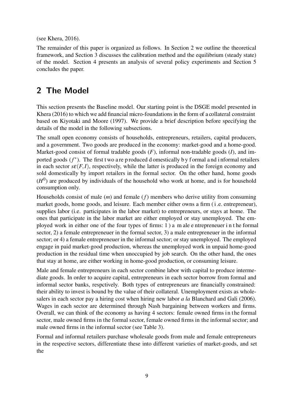(see Khera, 2016).

The remainder of this paper is organized as follows. In Section 2 we outline the theoretical framework, and Section 3 discusses the calibration method and the equilibrium (steady state) of the model. Section 4 presents an analysis of several policy experiments and Section 5 concludes the paper.

# **2 The Model**

This section presents the Baseline model. Our starting point is the DSGE model presented in Khera (2016) to which we add financial micro-foundations in the form of a collateral constraint based on Kiyotaki and Moore (1997). We provide a brief description before specifying the details of the model in the following subsections.

The small open economy consists of households, entrepreneurs, retailers, capital producers, and a government. Two goods are produced in the economy: market-good and a home-good. Market-good consist of formal tradable goods (*F*), informal non-tradable goods (*I*), and imported goods (f<sup>\*</sup>). The first two a reproduced domestically by formal and informal retailers in each sector  $s\epsilon(F,I)$ , respectively, while the latter is produced in the foreign economy and sold domestically by import retailers in the formal sector. On the other hand, home goods  $(H<sup>0</sup>)$  are produced by individuals of the household who work at home, and is for household consumption only.

Households consist of male (*m*) and female (*f*) members who derive utility from consuming market goods, home goods, and leisure. Each member either owns a firm (i .e. entrepreneur), supplies labor (i.e. participates in the labor market) to entrepreneurs, or stays at home. The ones that participate in the labor market are either employed or stay unemployed. The employed work in either one of the four types of firms: 1 ) a m ale e ntrepreneuer i n t he formal sector, 2) a female entrepreneuer in the formal sector, 3) a male entrepreneuer in the informal sector; or 4) a female entrepreneuer in the informal sector; or stay unemployed. The employed engage in paid market-good production, whereas the unemployed work in unpaid home-good production in the residual time when unoccupied by job search. On the other hand, the ones that stay at home, are either working in home-good production, or consuming leisure.

Male and female entrepreneurs in each sector combine labor with capital to produce intermediate goods. In order to acquire capital, entrepreneurs in each sector borrow from formal and informal sector banks, respctively. Both types of entrepreneurs are financially constrained: their ability to invest is bound by the value of their collateral. Unemployment exists as wholesalers in each sector pay a hiring cost when hiring new labor *a la* Blanchard and Gali (2006). Wages in each sector are determined through Nash bargaining between workers and firms. Overall, we can think of the economy as having 4 sectors: female owned firms in the formal sector, male owned firms in the formal sector, female owned firms in the informal sector; and male owned firms in the informal sector (see Table 3).

Formal and informal retailers purchase wholesale goods from male and female entrepreneurs in the respective sectors, differentiate these into different varieties of market-goods, and set the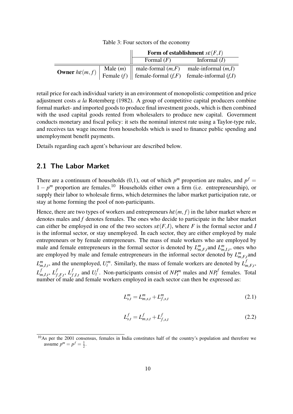Table 3: Four sectors of the economy

|  | Form of establishment $s\epsilon(F,I)$ |                                                                                             |  |  |  |
|--|----------------------------------------|---------------------------------------------------------------------------------------------|--|--|--|
|  | Formal $(F)$                           | Informal $(I)$                                                                              |  |  |  |
|  |                                        | Male $(m)$   male-formal $(m,F)$ male-informal $(m,I)$                                      |  |  |  |
|  |                                        | <b>Owner</b> $h\epsilon(m, f)$ Female $(f)$ female-formal $(f, F)$ female-informal $(f, I)$ |  |  |  |

retail price for each individual variety in an environment of monopolistic competition and price adjustment costs *a la* Rotemberg (1982). A group of competitive capital producers combine formal market- and imported goods to produce final investment goods, which is then combined with the used capital goods rented from wholesalers to produce new capital. Government conducts monetary and fiscal policy: it sets the nominal interest rate using a Taylor-type rule, and receives tax wage income from households which is used to finance public spending and unemployment benefit payments.

Details regarding each agent's behaviour are described below.

## **2.1 The Labor Market**

There are a continuum of households (0,1), out of which  $p^m$  proportion are males, and  $p^f =$  $1 - p^m$  proportion are females.<sup>10</sup> Households either own a firm (i.e. entrepreneurship), or supply their labor to wholesale firms, which determines the labor market participation rate, or stay at home forming the pool of non-participants.

Hence, there are two types of workers and entrepreneurs  $h \epsilon(m, f)$  in the labor market where *m* denotes males and *f* denotes females. The ones who decide to participate in the labor market can either be employed in one of the two sectors  $s\epsilon(F,I)$ , where *F* is the formal sector and *I* is the informal sector, or stay unemployed. In each sector, they are either employed by male entrepreneurs or by female entrepreneurs. The mass of male workers who are employed by male and female entrepreneurs in the formal sector is denoted by  $L_{m,F,t}^m$  and  $L_{m,I,t}^m$ , ones who are employed by male and female entrepreneurs in the informal sector denoted by  $L_{m,F,t}^m$  and  $L_{m,I,t}^m$ , and the unemployed,  $U_t^m$ . Similarly, the mass of female workers are denoted by  $L_n^f$ *m*,*F*,*t* , *L f*  $_{m,I,t}^f$ ,  $L_f^f$  $f_{f,F,t}$ <sup>,</sup>  $L_f^f$  $f$ <sub>*f*</sub>,*I*,*t*</sub> and  $U_t^f$  $t_t^f$ . Non-participants consist of  $NP_t^m$  males and  $NP_t^f$  females. Total number of male and female workers employed in each sector can then be expressed as:

$$
L_{s,t}^m = L_{m,s,t}^m + L_{f,s,t}^m \tag{2.1}
$$

$$
L_{s,t}^f = L_{m,s,t}^f + L_{f,s,t}^f
$$
\n(2.2)

 $\frac{10}{10}$ As per the 2001 consensus, females in India constitutes half of the country's population and therefore we assume  $p^{m} = p^{f} = \frac{1}{2}$ .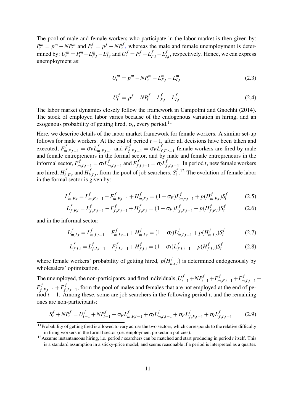The pool of male and female workers who participate in the labor market is then given by:  $P_t^m = p^m - NP_t^m$  and  $P_t^f = p^f - NP_t^f$ , whereas the male and female unemployment is determined by:  $U_t^m = P_t^m - L_{F,t}^m - L_{I,t}^m$  and  $U_t^f = P_t^f - L_{F,t}^f - L_I^f$  $I_{I,t}^J$ , respectively. Hence, we can express unemployment as:

$$
U_t^m = p^m - NP_t^m - L_{F,t}^m - L_{I,t}^m \tag{2.3}
$$

$$
U_t^f = p^f - NP_t^f - L_{F,t}^f - L_{I,t}^f \tag{2.4}
$$

The labor market dynamics closely follow the framework in Campolmi and Gnochhi (2014). The stock of employed labor varies because of the endogenous variation in hiring, and an exogenous probability of getting fired,  $\sigma_s$ , every period.<sup>11</sup>

Here, we describe details of the labor market framework for female workers. A similar set-up follows for male workers. At the end of period  $t - 1$ , after all decisions have been taken and executed,  $F_{m,F,t-1}^f = \sigma_F L_n^f$  $f_{m,F,t-1}$  and  $F_{f,F,t-1}^f = \sigma_F L_f^f$ *f*,*F*,*t*−1 female workers are fired by male and female entrepreneurs in the formal sector, and by male and female entrepreneurs in the informal sector,  $F_{m,I,t-1}^f = \sigma_I L_m^f$ *f*<sub>*m*</sub>,*I*,*t*−1</sub> and  $F_{f,I,t-1}^f = σ_I L_f^f$ *f*,*I*,*t*−1 . In period *t*, new female workers are hired, *H f*  $\int_{h,F,t}^{f}$  and  $H_h^f$  $h_{h,I,t}$ , from the pool of job searchers,  $S_t^f$  $t^{f}$ <sup>12</sup> The evolution of female labor in the formal sector is given by:

$$
L_{m,F,t}^f = L_{m,F,t-1}^f - F_{m,F,t-1}^f + H_{m,F,t}^f = (1 - \sigma_F)L_{m,s,t-1}^f + p(H_{m,F,t}^f)S_t^f
$$
(2.5)

$$
L_{f,F,t}^f = L_{f,F,t-1}^f - F_{f,F,t-1}^f + H_{f,F,t}^f = (1 - \sigma_F)L_{f,F,t-1}^f + p(H_{f,F,t}^f)S_t^f
$$
(2.6)

and in the informal sector:

$$
L_{m,I,t}^f = L_{m,I,t-1}^f - F_{m,I,t-1}^f + H_{m,I,t}^f = (1 - \sigma_I) L_{m,I,t-1}^f + p(H_{m,I,t}^f) S_t^f
$$
(2.7)

$$
L_{f,I,t}^f = L_{f,I,t-1}^f - F_{f,I,t-1}^f + H_{f,I,t}^f = (1 - \sigma_I)L_{f,I,t-1}^f + p(H_{f,I,t}^f)S_t^f
$$
(2.8)

where female workers' probability of getting hired,  $p(H_h^f)$  $h_{h,s,t}$ ) is determined endogenously by wholesalers' optimization.

The unemployed, the non-participants, and fired individuals,  $U_{t-1}^f + NP_{t-1}^f + F_{m,F,t-1}^f + F_{m,I,t-1}^f + F_{m,F,t-1}^f$  $F^f_{f,F,t-1} + F^f_{f,t}$ *f*,*I*,*t*−1 , form the pool of males and females that are not employed at the end of period *t* −1. Among these, some are job searchers in the following period *t*, and the remaining ones are non-participants:

$$
S_t^f + NP_t^f = U_{t-1}^f + NP_{t-1}^f + \sigma_F L_{m,F,t-1}^f + \sigma_I L_{m,I,t-1}^f + \sigma_F L_{f,F,t-1}^f + \sigma_I L_{f,I,t-1}^f
$$
(2.9)

 $11$ Probability of getting fired is allowed to vary across the two sectors, which corresponds to the relative difficulty in firing workers in the formal sector (i.e. employment protection policies).

<sup>12</sup>Assume instantaneous hiring, i.e. period *t* searchers can be matched and start producing in period *t* itself. This is a standard assumption in a sticky-price model, and seems reasonable if a period is interpreted as a quarter.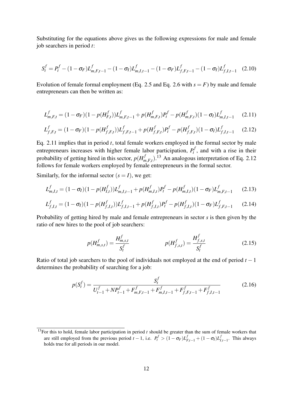Substituting for the equations above gives us the following expressions for male and female job searchers in period *t*:

$$
S_t^f = P_t^f - (1 - \sigma_F)L_{m,F,t-1}^f - (1 - \sigma_I)L_{m,I,t-1}^f - (1 - \sigma_F)L_{f,F,t-1}^f - (1 - \sigma_I)L_{f,I,t-1}^f \quad (2.10)
$$

Evolution of female formal employment (Eq. 2.5 and Eq. 2.6 with  $s = F$ ) by male and female entrepreneurs can then be written as:

$$
L_{m,F,t}^f = (1 - \sigma_F)(1 - p(H_{F,t}^f))L_{m,F,t-1}^f + p(H_{m,F,t}^f)P_t^f - p(H_{m,F,t}^f)(1 - \sigma_I)L_{m,I,t-1}^f
$$
 (2.11)

$$
L_{f,F,t}^f = (1 - \sigma_F)(1 - p(H_{f,F,t}^f))L_{f,F,t-1}^f + p(H_{f,F,t}^f)P_t^f - p(H_{f,F,t}^f)(1 - \sigma_I)L_{f,I,t-1}^f
$$
(2.12)

Eq. 2.11 implies that in period *t*, total female workers employed in the formal sector by male entrepreneurs increases with higher female labor participation, *P f*  $t'$ , and with a rise in their probability of getting hired in this sector,  $p(H_n^f)$  $m_{m,F,t}^{f}$ ).<sup>13</sup> An analogous interpretation of Eq. 2.12 follows for female workers employed by female entrepreneurs in the formal sector.

Similarly, for the informal sector  $(s = I)$ , we get:

$$
L_{m,I,t}^f = (1 - \sigma_I)(1 - p(H_{I,t}^f))L_{m,I,t-1}^f + p(H_{m,I,t}^f)P_t^f - p(H_{m,I,t}^f)(1 - \sigma_F)L_{m,F,t-1}^f
$$
 (2.13)

$$
L_{f,I,t}^f = (1 - \sigma_I)(1 - p(H_{f,I,t}^f))L_{f,I,t-1}^f + p(H_{f,I,t}^f)P_t^f - p(H_{f,I,t}^f)(1 - \sigma_F)L_{f,F,t-1}^f
$$
 (2.14)

Probability of getting hired by male and female entrepreneurs in sector *s* is then given by the ratio of new hires to the pool of job searchers:

$$
p(H_{m,s,t}^f) = \frac{H_{m,s,t}^f}{S_t^f} \qquad p(H_{f,s,t}^f) = \frac{H_{f,s,t}^f}{S_t^f} \qquad (2.15)
$$

Ratio of total job searchers to the pool of individuals not employed at the end of period *t* −1 determines the probability of searching for a job:

$$
p(S_t^f) = \frac{S_t^f}{U_{t-1}^f + NP_{t-1}^f + F_{m,F,t-1}^f + F_{m,I,t-1}^f + F_{f,F,t-1}^f + F_{f,I,t-1}^f}
$$
(2.16)

<sup>&</sup>lt;sup>13</sup>For this to hold, female labor participation in period *t* should be greater than the sum of female workers that are still employed from the previous period  $t - 1$ , i.e.  $P_t^f > (1 - \sigma_F)L_{F,t-1}^f + (1 - \sigma_I)L_{I,t-1}^f$ . This always holds true for all periods in our model.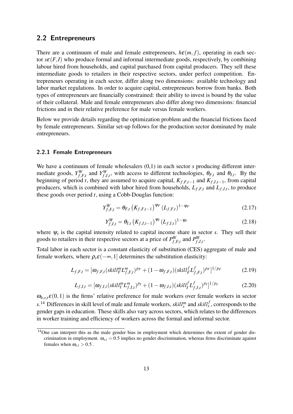## **2.2 Entrepreneurs**

There are a continuum of male and female entrepreneurs,  $h\epsilon(m, f)$ , operating in each sector  $s\epsilon(F,I)$  who produce formal and informal intermediate goods, respectively, by combining labour hired from households, and capital purchased from capital producers. They sell these intermediate goods to retailers in their respective sectors, under perfect competition. Entrepreneurs operating in each sector, differ along two dimensions: available technology and labor market regulations. In order to acquire capital, entrepreneurs borrow from banks. Both types of entrepreneurs are financially constrained: their ability to invest is bound by the value of their collateral. Male and female entrepreneurs also differ along two dimensions: financial frictions and in their relative preference for male versus female workers.

Below we provide details regarding the optimization problem and the financial frictions faced by female entrepreneurs. Similar set-up follows for the production sector dominated by male entrepreneurs.

#### **2.2.1 Female Entrepreneurs**

We have a continuum of female wholesalers  $(0,1)$  in each sector *s* producing different intermediate goods, *Y W*  $f$ <sup>*W*</sup>,*F*,*t*</sub> and  $Y$ <sup>*W*</sup>,  $f_{f,I,t}^{W}$ , with access to different technologies,  $\theta_{F,t}$  and  $\theta_{I,t}$ . By the beginning of period *t*, they are assumed to acquire capital,  $K_{f,F,t-1}$  and  $K_{f,I,t-1}$ , from capital producers, which is combined with labor hired from households, *Lf*,*F*,*<sup>t</sup>* and *Lf*,*I*,*<sup>t</sup>* , to produce these goods over period *t*, using a Cobb-Douglas function:

$$
Y_{f,F,t}^W = \Theta_{F,t} \left( K_{f,F,t-1} \right)^{\psi_F} (L_{f,F,t})^{1-\psi_F} \tag{2.17}
$$

$$
Y_{f,I,t}^W = \Theta_{I,t} \left( K_{f,I,t-1} \right)^{\psi_I} (L_{f,I,t})^{1-\psi_I} \tag{2.18}
$$

where  $\psi_s$  is the capital intensity related to capital income share in sector *s*. They sell their goods to retailers in their respective sectors at a price of  $P_f^W$  $_{f, F, t}^W$  and  $P_{f, t}^W$ *f*,*I*,*t* .

Total labor in each sector is a constant elasticity of substitution (CES) aggregate of male and female workers, where  $\rho_s \varepsilon(-\infty, 1]$  determines the substitution elasticity:

$$
L_{f,F,t} = [\omega_{f,F,t}(skill_F^m L_{f,F,t}^m)^{p_F} + (1 - \omega_{f,F,t})(skill_F^f L_{f,F,t}^f)^{p_F}]^{1/p_F}
$$
(2.19)

$$
L_{f,I,t} = [\omega_{f,I,t}(skill^m_I L^m_{f,I,t})^{p_I} + (1 - \omega_{f,I,t})(skill^f_I L^f_{f,I,t})^{p_I}]^{1/p_I}
$$
(2.20)

 $\omega_{h,s,t}\epsilon(0,1)$  is the firms' relative preference for male workers over female workers in sector  $s^{14}$  Differences in skill level of male and female workers,  $\delta k i l l_s^m$  and  $\delta k i l l_s^f$ , corresponds to the gender gaps in education. These skills also vary across sectors, which relates to the differences in worker training and efficiency of workers across the formal and informal sector.

<sup>&</sup>lt;sup>14</sup>One can interpret this as the male gender bias in employment which determines the extent of gender discrimination in employment. ω*s*,*<sup>t</sup>* = 0.5 implies no gender discrimination, whereas firms discriminate against females when  $\omega_{s,t} > 0.5$ .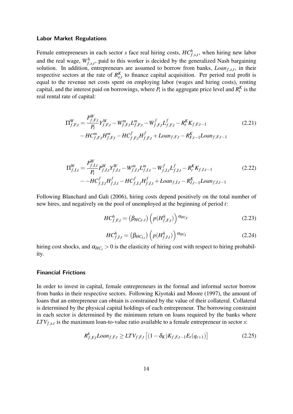#### **Labor Market Regulations**

Female entrepreneurs in each sector *s* face real hiring costs,  $HC_{f,s,t}^h$ , when hiring new labor and the real wage,  $W_{f,s,t}^h$ , paid to this worker is decided by the generalized Nash bargaining solution. In addition, entrepreneurs are assumed to borrow from banks, *Loanf*,*s*,*<sup>t</sup>* , in their respective sectors at the rate of  $R_{s,t}^{K}$  to finance capital acquisition. Per period real profit is equal to the revenue net costs spent on employing labor (wages and hiring costs), renting capital, and the interest paid on borrowings, where  $P_t$  is the aggregate price level and  $R_t^K$  is the real rental rate of capital:

$$
\Pi_{f,F,t}^W = \frac{P_{f,F,t}^W}{P_t} Y_{f,F,t}^W - W_{f,F,t}^m L_{f,F,t}^m - W_{f,F,t}^f L_{f,F,t}^f - R_t^K K_{f,F,t-1}
$$
\n
$$
- H C_{f,F,t}^m H_{f,F,t}^m - H C_{f,F,t}^f H_{f,F,t}^f + L o a n_{f,F,t} - R_{F,t-1}^K L o a n_{f,F,t-1}
$$
\n(2.21)

$$
\Pi_{f,I,t}^{W} = \frac{P_{f,I,t}^{W}}{P_t} P_{f,I,t}^{W} Y_{f,I,t}^{W} - W_{f,I,t}^{m} L_{f,I,t}^{m} - W_{f,I,t}^{f} L_{f,I,t}^{f} - R_{t}^{K} K_{f,I,t-1}
$$
\n
$$
-H C_{f,I,t}^{f} H_{f,I,t}^{f} - H C_{f,I,t}^{f} H_{f,I,t}^{f} + L o a n_{f,I,t} - R_{I,t-1}^{K} L o a n_{f,I,t-1}
$$
\n(2.22)

Following Blanchard and Gali (2006), hiring costs depend positively on the total number of new hires, and negatively on the pool of unemployed at the beginning of period *t*:

$$
HC_{f,F,t}^{h} = (\beta_{HC_F,t}) \left( p(H_{f,F,t}^{h}) \right)^{\alpha_{HC_F}}
$$
\n(2.23)

$$
HC_{f,I,t}^{h} = (\beta_{HC_{I,t}}) \left( p(H_{f,I,t}^{h}) \right)^{\alpha_{HC_I}}
$$
 (2.24)

hiring cost shocks, and  $\alpha_{HC} > 0$  is the elasticity of hiring cost with respect to hiring probability.

#### **Financial Frictions**

In order to invest in capital, female entrepreneurs in the formal and informal sector borrow from banks in their respective sectors. Following Kiyotaki and Moore (1997), the amount of loans that an entrepreneur can obtain is constrained by the value of their collateral. Collateral is determined by the physical capital holdings of each entrepreneur. The borrowing constraint in each sector is determined by the minimum return on loans required by the banks where *LTVf*,*s*,*<sup>t</sup>* is the maximum loan-to-value ratio available to a female entrepreneur in sector *s*:

$$
R_{f,F,t}^{k} Loan_{f,F,t} \geq LTV_{f,F,t} [(1 - \delta_{K})K_{f,F,t-1}E_{t}(q_{t+1})]
$$
\n(2.25)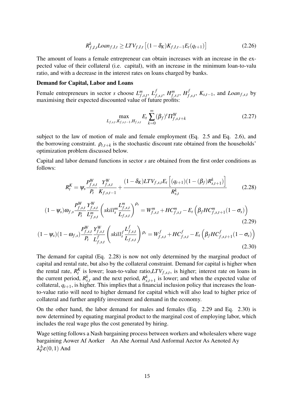$$
R_{f,I,t}^{k} Loan_{f,I,t} \geq LTV_{f,I,t} \left[ (1 - \delta_K)K_{f,I,t-1}E_t(q_{t+1}) \right]
$$
 (2.26)

The amount of loans a female entrepreneur can obtain increases with an increase in the expected value of their collateral (i.e. capital), with an increase in the minimum loan-to-valu ratio, and with a decrease in the interest rates on loans charged by banks.

#### Demand for Capital, Labor and Loans

Female entrepreneurs in sector *s* choose  $L_{f,s,t}^m$ ,  $L_f^f$  $^f_{f,s,t}, H^m_{f,s,t}, H^f_f$ *f*,*s*,*t* , *Ks*,*t*−1, and *Loanf*,*s*,*<sup>t</sup>* by maximising their expected discounted value of future profits:

$$
\max_{L_{f,s,t}, K_{f,s,t-1}, H_{f,s,t}} E_t \sum_{k=0}^{\infty} (\beta_f)^t \Pi_{f,s,t+k}^W
$$
 (2.27)

subject to the law of motion of male and female employment (Eq. 2.5 and Eq. 2.6), and the borrowing constraint.  $\rho_{t,t+k}$  is the stochastic discount rate obtained from the households' optimization problem discussed below.

Capital and labor demand functions in sector *s* are obtained from the first order conditions as follows:

$$
R_t^K = \psi_s \frac{P_{f,s,t}^W}{P_t} \frac{Y_{f,s,t}^W}{K_{f,s,t-1}} + \frac{(1 - \delta_K) LTV_{f,s,t} E_t \left[ (q_{t+1})(1 - (\beta_f)R_{s,t+1}^k) \right]}{R_{s,t}^k}
$$
(2.28)

$$
(1 - \psi_s) \omega_{f,s} \frac{P_{f,s,t}^W}{P_t} \frac{Y_{f,s,t}^W}{L_{f,s,t}^m} \left( \text{skill}_s^m \frac{L_{f,s,t}^m}{L_{f,s,t}} \right)^{\rho_s} = W_{f,s,t}^m + HC_{f,s,t}^m - E_t \left( \beta_f HC_{f,s,t+1}^m (1 - \sigma_s) \right)
$$
\n(2.29)

$$
(1 - \psi_s)(1 - \omega_{f,s}) \frac{P_{f,s,t}^W}{P_t} \frac{Y_{f,s,t}^W}{L_{f,s,t}^f} \left( skill_s^f \frac{L_{f,s,t}^f}{L_{f,s,t}} \right) \rho_s = W_{f,s,t}^f + HC_{f,s,t}^f - E_t \left( \beta_f HC_{f,s,t+1}^f (1 - \sigma_s) \right)
$$
\n(2.30)

the current period,  $R_{s,t}^k$  and the next period,  $R_{s,t+1}^k$  is lower; and when the expected value of The demand for capital (Eq. 2.28) is now not only determined by the marginal product of capital and rental rate, but also by the collateral constraint. Demand for capital is higher when the rental rate,  $R_t^K$  is lower; loan-to-value ratio, $LTV_{f,s,t}$ , is higher; interest rate on loans in collateral,  $q_{t+1}$ , is higher. This implies that a financial inclusion policy that increases the loanto-value ratio will need to higher demand for capital which will also lead to higher price of collateral and further amplify investment and demand in the economy.

On the other hand, the labor demand for males and females (Eq. 2.29 and Eq. 2.30) is now determined by equating marginal product to the marginal cost of employing labor, which includes the real wage plus the cost generated by hiring.

Wage setting follows a Nash bargaining process between workers and wholesalers where wage bargaining Aower Af Aorker An Ahe Aormal And Anformal Aector As Aenoted Ay  $\lambda_F^h \varepsilon(0,1)$  And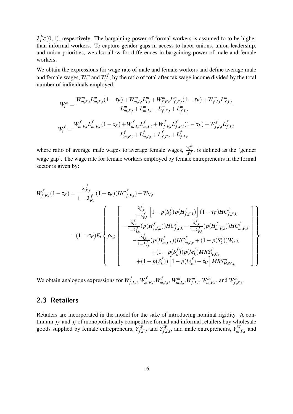$\lambda_l^h \varepsilon(0,1)$ , respectively. The bargaining power of formal workers is assumed to to be higher than informal workers. To capture gender gaps in access to labor unions, union leadership, and union priorities, we also allow for differences in bargaining power of male and female workers.

We obtain the expressions for wage rate of male and female workers and define average male and female wages,  $W_t^m$  and  $W_t^f$  $t'$ , by the ratio of total after tax wage income divided by the total number of individuals employed:

$$
W_t^m = \frac{W_{m,F,t}^m L_{m,F,t}^m (1 - \tau_F) + W_{m,I,t}^m L_{I,t}^m + W_{f,F,t}^m L_{f,F,t}^m (1 - \tau_F) + W_{f,I,t}^m L_{f,I,t}^m}{L_{m,F,t}^m + L_{m,I,t}^m + L_{f,F,t}^m + L_{f,I,t}^m}
$$
  

$$
W_t^f = \frac{W_{m,F,t}^f L_{m,F,t}^f (1 - \tau_F) + W_{m,I,t}^f L_{m,I,t}^f + W_{f,F,t}^f L_{f,F,t}^f (1 - \tau_F) + W_{f,I,t}^f L_{f,I,t}^f}{L_{m,F,t}^f + L_{m,I,t}^f + L_{f,F,t}^f + L_{f,I,t}^f}
$$

where ratio of average male wages to average female wages,  $\frac{W_l^m}{W_l}$  $\frac{w_t}{W_t^f}$ , is defined as the 'gender wage gap'. The wage rate for female workers employed by female entrepreneurs in the formal sector is given by:

$$
W_{f,F,t}^{f}(1-\tau_{F}) = \frac{\lambda_{F,t}^{f}}{1-\lambda_{F,t}^{f}}(1-\tau_{F})(HC_{f,F,t}^{f}) + W_{U,t}
$$
  
\n
$$
-(1-\sigma_{F})E_{t} \left\{\n\begin{bmatrix}\n\frac{\lambda_{F,k}^{f}}{1-\lambda_{F,k}^{f}}\left[1-p(S_{k}^{f})p(H_{f,F,k}^{f})\right](1-\tau_{F})HC_{f,F,k}^{f} \\
-\frac{\lambda_{I,k}^{f}}{1-\lambda_{I,k}^{f}}(p(H_{f,I,k}^{f}))HC_{f,I,k}^{f} - \frac{\lambda_{F,k}^{f}}{1-\lambda_{F,k}^{f}}(p(H_{m,F,k}^{f}))HC_{m,F,k}^{f} \\
-\frac{\lambda_{I,k}^{f}}{1-\lambda_{I,k}^{f}}(p(H_{m,I,k}^{f}))HC_{m,I,k}^{f} + (1-p(S_{k}^{f}))W_{U,k} \\
+(1-p(S_{k}^{f}))p(le_{k}^{f})MRS_{le,C_{k}}^{f} \\
+(1-p(S_{k}^{f}))\left[1-p(le_{k}^{f})-\tau_{U}\right]MRS_{HP,C_{k}}^{m}\n\end{bmatrix}\n\right\}
$$

We obtain analogous expressions for *W f*  $f$ <sub>*f*</sub>,*I*,*t*</sub>, *W*<sub>*m*</sub>  $\int_{m,F,t}^{f}$ , $W_m^f$  $W_{m,I,t}^f$ ,  $W_{m,I,t}^m$ ,  $W_{f,I,t}^m$ ,  $W_{m,F,t}^m$ , and  $W_{f,F,t}^m$ .

# **2.3 Retailers**

Retailers are incorporated in the model for the sake of introducing nominal rigidity. A continuum  $j_F$  and  $j_I$  of monopolistically competitive formal and informal retailers buy wholesale goods supplied by female entrepreneurs,  $Y_f^W$  $f$ <sup>*W*</sup>,*F*,*t*</sub> and  $Y$ <sup>*W*</sup>,  $f_{f,I,t}^W$ , and male entrepreneurs,  $Y_{m,F,t}^W$  and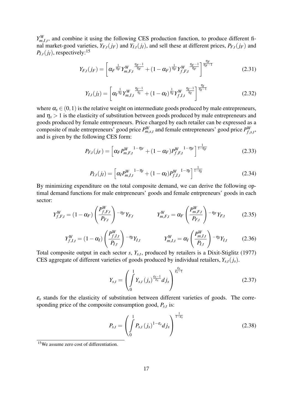$Y_{m,I,t}^W$ , and combine it using the following CES production function, to produce different final market-good varieties,  $Y_{F,t}(j_F)$  and  $Y_{I,t}(j_I)$ , and sell these at different prices,  $P_{F,t}(j_F)$  and  $P_{I,t}(j_I)$ , respectively:<sup>15</sup>

$$
Y_{F,t}(j_F) = \left[ \alpha_F^{\frac{1}{\eta_F}} Y_{m,F,t}^W^{\frac{\eta_F - 1}{\eta_F}} + (1 - \alpha_F)^{\frac{1}{\eta_F}} Y_{f,F,t}^W^{\frac{\eta_F - 1}{\eta_F}} \right]^{\frac{\eta_F}{\eta_F - 1}}
$$
(2.31)

$$
Y_{I,t}(j_I) = \left[ \alpha_I^{\frac{1}{\eta_I}} Y_{m,I,t}^W \frac{\eta_I - 1}{\eta_i} + (1 - \alpha_I)^{\frac{1}{\eta_I}} Y_{f,I,t}^W \frac{\eta_I - 1}{\eta_I} \right]^{\frac{\eta_I}{\eta_I - 1}}
$$
(2.32)

where  $\alpha_s \in (0,1)$  is the relative weight on intermediate goods produced by male entrepreneurs, and  $\eta_s > 1$  is the elasticity of substitution between goods produced by male entrepreneurs and goods produced by female entrepreneurs. Price charged by each retailer can be expressed as a composite of male entrepreneurs' good price  $P_{m,s,t}^W$  and female entrepreneurs' good price  $P_{f,s}^W$ *f*,*s*,*t* , and is given by the following CES form:

$$
P_{F,t}(j_F) = \left[ \alpha_F P_{m,F,t}^W \right]^{1-\eta_F} + (1-\alpha_F) P_{f,F,t}^W \right]^{1-\eta_F} \tag{2.33}
$$

$$
P_{I,t}(j_I) = \left[ \alpha_I P_{m,I,t}^W \right]^{1-\eta_I} + (1-\alpha_I) P_{f,I,t}^W \right]^{1-\eta_I} \tag{2.34}
$$

By minimizing expenditure on the total composite demand, we can derive the following optimal demand functions for male entrpreneurs' goods and female entrpreneurs' goods in each sector:

$$
Y_{f,F,t}^{W} = (1 - \alpha_F) \left( \frac{P_{f,F,t}^{W}}{P_{F,t}} \right) - \eta_F Y_{F,t} \qquad Y_{m,F,t}^{W} = \alpha_F \left( \frac{P_{m,F,t}^{W}}{P_{F,t}} \right) - \eta_F Y_{F,t} \qquad (2.35)
$$

$$
Y_{f,I,t}^{W} = (1 - \alpha_I) \left( \frac{P_{f,I,t}^{W}}{P_{I,t}} \right) - \eta_I Y_{I,t} \qquad \qquad Y_{m,I,t}^{W} = \alpha_I \left( \frac{P_{m,I,t}^{W}}{P_{I,t}} \right) - \eta_I Y_{I,t} \qquad (2.36)
$$

Total composite output in each sector *s*, *Ys*,*<sup>t</sup>* , produced by retailers is a Dixit-Stiglitz (1977) CES aggregate of different varieties of goods produced by individual retailers, *Ys*,*t*(*js*).

$$
Y_{s,t} = \left(\int\limits_{0}^{1} Y_{s,t} \left(j_s\right)^{\frac{\varepsilon_s - 1}{\varepsilon_s}} d j_s\right)^{\frac{\varepsilon_s}{\varepsilon_s - 1}}
$$
(2.37)

 $\varepsilon$ <sub>s</sub> stands for the elasticity of substitution between different varieties of goods. The corresponding price of the composite consumption good, *Ps*,*<sup>t</sup>* is:

$$
P_{s,t} = \left(\int\limits_0^1 P_{s,t} (j_s)^{1-\varepsilon_s} dj_s\right)^{\frac{1}{1-\varepsilon_s}}
$$
(2.38)

<sup>&</sup>lt;sup>15</sup>We assume zero cost of differentiation.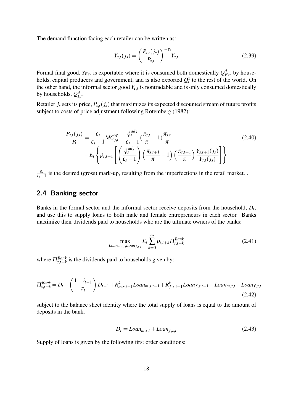The demand function facing each retailer can be written as:

$$
Y_{s,t}(j_s) = \left(\frac{P_{s,t}(j_s)}{P_{s,t}}\right)^{-\epsilon_s} Y_{s,t}
$$
 (2.39)

Formal final good,  $Y_{F,t}$ , is exportable where it is consumed both domestically  $Q_{F,t}^d$ , by households, capital producers and government, and is also exported  $Q_t^x$  to the rest of the world. On the other hand, the informal sector good  $Y_{I,t}$  is nontradable and is only consumed domestically by households,  $Q_{I,t}^d$ .

Retailer  $j_s$  sets its price,  $P_{s,t}(j_s)$  that maximizes its expected discounted stream of future profits subject to costs of price adjustment following Rotemberg (1982):

$$
\frac{P_{s,t}(j_s)}{P_t} = \frac{\varepsilon_s}{\varepsilon_s - 1} MC_{j,t}^W + \frac{\phi_s^{adj}}{\varepsilon_s - 1} (\frac{\pi_{s,t}}{\pi} - 1) \frac{\pi_{s,t}}{\pi}
$$
\n
$$
-E_t \left\{ \rho_{t,t+1} \left[ \left( \frac{\phi_s^{adj}}{\varepsilon_s - 1} \right) \left( \frac{\pi_{s,t+1}}{\pi} - 1 \right) \left( \frac{\pi_{s,t+1}}{\pi} \right) \frac{Y_{s,t+1}(j_s)}{Y_{s,t}(j_s)} \right] \right\}
$$
\n(2.40)

ε*s*  $\frac{\varepsilon_s}{\varepsilon_s-1}$  is the desired (gross) mark-up, resulting from the imperfections in the retail market. .

# **2.4 Banking sector**

Banks in the formal sector and the informal sector receive deposits from the household, *D<sup>t</sup>* , and use this to supply loans to both male and female entrepreneurs in each sector. Banks maximize their dividends paid to households who are the ultimate owners of the banks:

$$
\max_{Loan_{m,s,t}, Loan_{f,s,t}} E_t \sum_{k=0}^{\infty} \rho_{t,t+k} \Pi_{s,t+k}^{Bank}
$$
 (2.41)

where  $\Pi_{s,t+k}^{Bank}$  is the dividends paid to households given by:

$$
\Pi_{s,t+k}^{Bank} = D_t - \left(\frac{1+i_{t-1}}{\pi_t}\right)D_{t-1} + R_{m,s,t-1}^k Loan_{m,s,t-1} + R_{f,s,t-1}^k Loan_{f,s,t-1} - Loan_{m,s,t} - Loan_{f,s,t-1} \tag{2.42}
$$

subject to the balance sheet identity where the total supply of loans is equal to the amount of deposits in the bank.

$$
D_t = Loan_{m,s,t} + Loan_{f,s,t} \tag{2.43}
$$

Supply of loans is given by the following first order conditions: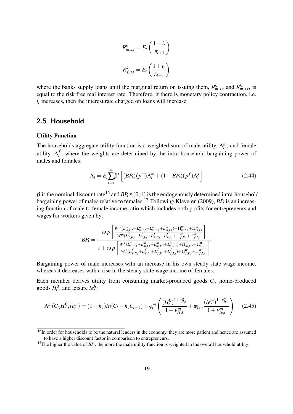$$
R_{m,s,t}^{k} = E_t \left( \frac{1+i_t}{\pi_{t+1}} \right)
$$

$$
R_{f,s,t}^{k} = E_t \left( \frac{1+i_t}{\pi_{t+1}} \right)
$$

where the banks supply loans until the marginal return on issuing them,  $R_{m,s,t}^k$  and  $R_{m,s,t}^k$ , is equal to the risk free real interest rate. Therefore, if there is monetary policy contraction, i.e.  $i_t$  increases, then the interest rate charged on loans will increase.

## **2.5 Household**

#### Utility Function

The households aggregate utility function is a weighted sum of male utility,  $\Lambda_t^m$ , and female utility, Λ *f*  $t<sub>t</sub>$ , where the weights are determined by the intra-household bargaining power of males and females:

$$
\Lambda_t = E_t \sum_{t=0}^{\infty} \beta^t \left[ (BP_t)(p^m) \Lambda_t^m + (1 - BP_t)(p^f) \Lambda_t^f \right]
$$
\n(2.44)

 $β$  is the nominal discount rate<sup>16</sup> and  $BP_t ε (0,1)$  is the endogenously determined intra-household bargaining power of males relative to females.<sup>17</sup> Following Klaveren (2009), *BP<sup>t</sup>* is an increasing function of male to female income ratio which includes both profits for entrepreneurs and wages for workers given by:

$$
BP_t = \frac{exp\left[\frac{W^m(L_{m,F,t}^m + L_{m,f,t}^m + L_{m,F,t}^m + L_{m,f,t}^m) + \Pi_{m,F,t}^W + \Pi_{m,I,t}^W}{W^m(L_{f,F,t}^f + L_{f,I,t}^f + L_{f,f,t}^f + L_{f,I,t}^f + \Pi_{f,F,t}^W + \Pi_{f,I,t}^W}\right]}{1 + exp\left[\frac{W^f(L_{m,F,t}^m + L_{m,I,t}^m + L_{m,F,t}^m + L_{m,I,t}^m) + \Pi_{m,F,t}^W + \Pi_{m,I,t}^W}{W^f(L_{f,F,t}^f + L_{f,I,t}^f + L_{f,I,t}^f + L_{f,I,t}^f) + \Pi_{f,F,t}^W + \Pi_{f,I,t}^W}\right]}
$$

Bargaining power of male increases with an increase in his own steady state wage income, whereas it decreases with a rise in the steady state wage income of females..

Each member derives utility from consuming market-produced goods *C<sup>t</sup>* , home-produced goods  $H_t^0$ , and leisure  $le_t^h$ :

$$
\Lambda^m(C_t, H_t^0, I e_t^m) = (1 - h_c)ln(C_t - h_c C_{t-1}) + \phi_t^m \left( \frac{(H_t^0)^{1 + v_{H,t}^m}}{1 + v_{H,t}^m} + \phi_{le,t}^m \frac{(I e_t^m)^{1 + v_{le,t}^m}}{1 + v_{le,t}^m} \right)
$$
(2.45)

 $\frac{16}{16}$ In order for households to be the natural lenders in the economy, they are more patient and hence are assumed to have a higher discount factor in comparison to entrepreneurs.

<sup>&</sup>lt;sup>17</sup>The higher the value of  $BP_t$ , the more the male utility function is weighted in the overall household utility.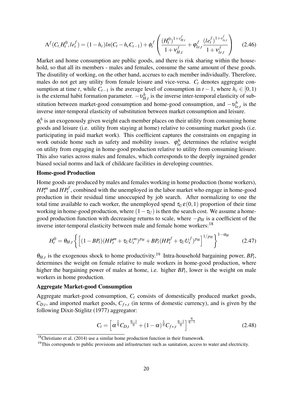$$
\Lambda^f(C_t, H_t^0, I e_t^f) = (1 - h_c)ln(C_t - h_c C_{t-1}) + \phi_t^f\left(\frac{(H_t^0)^{1 + v_{H,t}^f}}{1 + v_{H,t}^f} + \phi_{le,t}^f \frac{(le_t^f)^{1 + v_{le,t}^f}}{1 + v_{le,t}^f}\right) \tag{2.46}
$$

Market and home consumption are public goods, and there is risk sharing within the household, so that all its members - males and females, consume the same amount of these goods. The disutility of working, on the other hand, accrues to each member individually. Therefore, males do not get any utility from female leisure and vice-versa. *C<sup>t</sup>* denotes aggregate consumption at time *t*, while  $C_{t-1}$  is the average level of consumption in  $t-1$ , where  $h_c \in [0,1)$ is the external habit formation parameter.  $-v_{H,t}^h$  is the inverse inter-temporal elasticity of substitution between market-good consumption and home-good consumption, and  $-v_{li}^h$  $b_{le,t}^h$  is the inverse inter-temporal elasticity of substitution between market consumption and leisure.

 $\phi_t^h$  is an exogenously given weight each member places on their utility from consuming home goods and leisure (i.e. utility from staying at home) relative to consuming market goods (i.e. participating in paid market work). This coefficient captures the constraints on engaging in work outside home such as safety and mobility issues.  $\varphi_{le}^h$  determines the relative weight on utility from engaging in home-good production relative to utility from consuming leisure. This also varies across males and females, which corresponds to the deeply ingrained gender biased social norms and lack of childcare facilities in developing countries.

#### Home-good Production

Home goods are produced by males and females working in home production (home workers), *HP*<sup>*n*</sup></sup> and *HP*<sup>*f*</sup>, combined with the unemployed in the labor market who engage in home-good production in their residual time unoccupied by job search. After normalizing to one the total time available to each worker, the unemployed spend  $\tau_U \varepsilon(0,1)$  proportion of their time working in home-good production, where  $(1 - \tau_U)$  is then the search cost. We assume a homegood production function with decreasing returns to scale, where  $-\rho_H$  is a coefficient of the inverse inter-temporal elasticity between male and female home workers:<sup>18</sup>

$$
H_t^0 = \theta_{H,t} \left\{ \left[ (1 - BP_t)(HP_t^m + \tau_U U_t^m)^{p_H} + BP_t (HP_t^f + \tau_U U_t^f)^{p_H} \right]^{1/p_H} \right\}^{1 - \alpha_H}
$$
(2.47)

 $\theta_{H,t}$  is the exogenous shock to home productivity.<sup>19</sup> Intra-household bargaining power,  $BP_t$ , determines the weight on female relative to male workers in home-good production, where higher the bargaining power of males at home, i.e. higher *BP<sup>t</sup>* , lower is the weight on male workers in home production.

#### Aggregate Market-good Consumption

Aggregate market-good consumption, *C<sup>t</sup>* consists of domestically produced market goods,  $C_{D,t}$ , and imported market goods,  $C_{f*,t}$  (in terms of domestic currency), and is given by the following Dixit-Stiglitz (1977) aggregator:

$$
C_t = \left[ \alpha^{\frac{1}{\eta}} C_{D,t}^{\frac{\eta-1}{\eta}} + (1-\alpha)^{\frac{1}{\eta}} C_{f*,t}^{\frac{\eta-1}{\eta}} \right]^{\frac{\eta}{\eta-1}}
$$
(2.48)

 $18$ Christiano et al. (2014) use a similar home production function in their framework.

<sup>&</sup>lt;sup>19</sup>This corresponds to public provisions and infrastructure such as sanitation, access to water and electricity.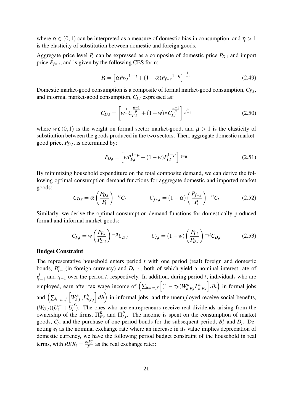where  $\alpha \in (0,1)$  can be interpreted as a measure of domestic bias in consumption, and  $\eta > 1$ is the elasticity of substitution between domestic and foreign goods.

Aggregate price level  $P_t$  can be expressed as a composite of domestic price  $P_{D,t}$  and import price  $P_{f*,t}$ , and is given by the following CES form:

$$
P_t = \left[ \alpha P_{D,t}^{1-\eta} + (1-\alpha) P_{f*,t}^{1-\eta} \right]^{\frac{1}{1-\eta}}
$$
(2.49)

Domestic market-good consumption is a composite of formal market-good consumption, *CF*,*<sup>t</sup>* , and informal market-good consumption, *CI*,*<sup>t</sup>* expressed as:

$$
C_{D,t} = \left[ w^{\frac{1}{\mu}} C_{F,t}^{\frac{\mu-1}{\mu}} + (1-w)^{\frac{1}{\mu}} C_{I,t}^{\frac{\mu-1}{\mu}} \right]_{\frac{\mu}{\mu-1}}
$$
(2.50)

where  $w \varepsilon (0,1)$  is the weight on formal sector market-good, and  $\mu > 1$  is the elasticity of substitution between the goods produced in the two sectors. Then, aggregate domestic marketgood price, *PD*,*<sup>t</sup>* , is determined by:

$$
P_{D,t} = \left[ w P_{F,t}^{1-\mu} + (1-w) P_{I,t}^{1-\mu} \right] \frac{1}{1-\mu}
$$
 (2.51)

By minimizing household expenditure on the total composite demand, we can derive the following optimal consumption demand functions for aggregate domestic and imported market goods:

$$
C_{D,t} = \alpha \left(\frac{P_{D,t}}{P_t}\right)^{-\eta} C_t \qquad C_{f*,t} = (1-\alpha) \left(\frac{P_{f*,t}}{P_t}\right)^{-\eta} C_t \qquad (2.52)
$$

Similarly, we derive the optimal consumption demand functions for domestically produced formal and informal market-goods:

$$
C_{F,t} = w \left(\frac{P_{F,t}}{P_{D,t}}\right)^{-\mu} C_{D,t} \qquad C_{I,t} = (1-w) \left(\frac{P_{I,t}}{P_{D,t}}\right)^{-\mu} C_{D,t} \qquad (2.53)
$$

#### Budget Constraint

The representative household enters period *t* with one period (real) foreign and domestic bonds,  $B_{t-1}^*$  (in foreign currency) and  $D_{t-1}$ , both of which yield a nominal interest rate of *i f*  $t_{t-1}$  and  $i_{t-1}$  over the period *t*, respectively. In addition, during period *t*, individuals who are employed, earn after tax wage income of  $\left(\sum_{h=m,f}\left[(1-\tau_F)W_{h,F,t}^h L_h^h\right]\right)$  $\left[\begin{array}{c} h \\ h, F, t \end{array}\right] dh$  in formal jobs and  $\left(\sum_{h=m,f}\left[W_{h,I,t}^h L_h^h\right]\right)$  $\int_{h,l,t}^{h} dh$  in informal jobs, and the unemployed receive social benefits,  $(W_{U,t})(U_t^m + U_t^f)$  $t'$ ). The ones who are entrepreneurs receive real dividends arising from the ownership of the firms,  $\Pi_{F,t}^R$  and  $\Pi_{I,t}^R$ . The income is spent on the consumption of market goods,  $C_t$ , and the purchase of one period bonds for the subsequent period,  $B_t^*$  and  $D_t$ . Denoting *e<sup>t</sup>* as the nominal exchange rate where an increase in its value implies depreciation of domestic currency, we have the following period budget constraint of the household in real terms, with  $RER_t = \frac{e_tP_t^*}{P_t}$  as the real exchange rate::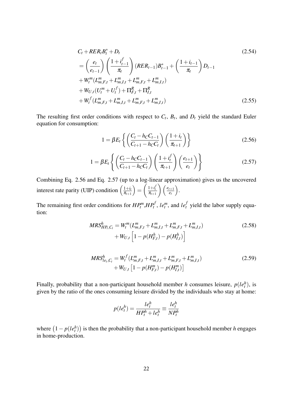$$
C_{t} + RER_{t}B_{t}^{*} + D_{t}
$$
\n
$$
= \left(\frac{e_{t}}{e_{t-1}}\right) \left(\frac{1 + i_{t-1}^{f}}{\pi_{t}}\right) (RER_{t-1})B_{t-1}^{*} + \left(\frac{1 + i_{t-1}}{\pi_{t}}\right) D_{t-1}
$$
\n
$$
+ W_{t}^{m} (L_{m,F,t}^{m} + L_{m,I,t}^{m} + L_{m,F,t}^{m} + L_{m,I,t}^{m})
$$
\n
$$
+ W_{U,t} (U_{t}^{m} + U_{t}^{f}) + \Pi_{F,t}^{R} + \Pi_{I,t}^{R}
$$
\n
$$
+ W_{t}^{f} (L_{m,F,t}^{m} + L_{m,I,t}^{m} + L_{m,F,t}^{m} + L_{m,I,t}^{m})
$$
\n(2.55)

The resulting first order conditions with respect to  $C_t$ ,  $B_t$ , and  $D_t$  yield the standard Euler equation for consumption:

$$
1 = \beta E_t \left\{ \left( \frac{C_t - h_C C_{t-1}}{C_{t+1} - h_C C_t} \right) \left( \frac{1 + i_t}{\pi_{t+1}} \right) \right\}
$$
(2.56)

$$
1 = \beta E_t \left\{ \left( \frac{C_t - h_C C_{t-1}}{C_{t+1} - h_C C_t} \right) \left( \frac{1 + i_t^f}{\pi_{t+1}} \right) \left( \frac{e_{t+1}}{e_t} \right) \right\}
$$
(2.57)

Combining Eq. 2.56 and Eq. 2.57 (up to a log-linear approximation) gives us the uncovered interest rate parity (UIP) condition  $\left(\frac{1+i}{\pi}\right)$  $\pi_{t+1}$  $=$  $\left(\frac{1+i_t^j}{\pi_{t+1}}\right)$  $\left( \frac{e_{t+1}}{e_t} \right)$ *et* .

The remaining first order conditions for  $HP_t^m, HP_t^f$ ,  $le_t^m$ , and  $le_t^f$  yield the labor supply equation:

$$
MRS_{HP_t,C_t}^h = W_t^m (L_{m,F,t}^m + L_{m,I,t}^m + L_{m,F,t}^m + L_{m,I,t}^m)
$$
  
+ 
$$
W_{U,t} \left[ 1 - p(H_{F,t}^h) - p(H_{I,t}^h) \right]
$$
 (2.58)

$$
MRS_{le_t,C_t}^h = W_t^f (L_{m,F,t}^m + L_{m,I,t}^m + L_{m,F,t}^m + L_{m,I,t}^m)
$$
  
+ 
$$
W_{U,t} [1 - p(H_{F,t}^m) - p(H_{I,t}^m)]
$$
 (2.59)

Finally, probability that a non-participant household member *h* consumes leisure,  $p(le<sub>t</sub><sup>h</sup>)$ , is given by the ratio of the ones consuming leisure divided by the individuals who stay at home:

$$
p(le_t^h) = \frac{le_t^h}{HP_t^h + le_t^h} \equiv \frac{le_t^h}{NP_t^h}
$$

where  $(1 - p(le_t^h))$  is then the probability that a non-participant household member *h* engages in home-production.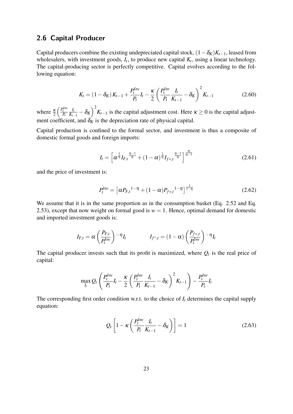## **2.6 Capital Producer**

Capital producers combine the existing undepreciated capital stock,  $(1-\delta_K)K_{t-1}$ , leased from wholesalers, with investment goods,  $I_t$ , to produce new capital  $K_t$ , using a linear technology. The capital-producing sector is perfectly competitive. Capital evolves according to the following equation:

$$
K_{t} = (1 - \delta_{K}) K_{t-1} + \frac{P_{t}^{Inv}}{P_{t}} I_{t} - \frac{\kappa}{2} \left( \frac{P_{t}^{Inv}}{P_{t}} \frac{I_{t}}{K_{t-1}} - \delta_{K} \right)^{2} K_{t-1}
$$
(2.60)

where  $\frac{k}{2}$  $\left(\frac{P_t^{Inv}}{P_t}\right)$ *It*  $\frac{I_t}{K_{t-1}} - \delta_K$ )  $\left(\frac{I_t}{K_{t-1}}\right)$  is the capital adjustment cost. Here  $\kappa \geq 0$  is the capital adjustment coefficient, and  $\delta_K$  is the depreciation rate of physical capital.

Capital production is confined to the formal sector, and investment is thus a composite of domestic formal goods and foreign imports:

$$
I_{t} = \left[\alpha^{\frac{1}{\eta}} I_{F,t}^{\frac{\eta-1}{\eta}} + (1-\alpha)^{\frac{1}{\eta}} I_{f*,t}^{\frac{\eta-1}{\eta}}\right]^{\frac{\eta}{\eta-1}}
$$
(2.61)

and the price of investment is:

$$
P_t^{Inv} = \left[ \alpha P_{F,t}^{1-\eta} + (1-\alpha) P_{f*,t}^{1-\eta} \right]^{\frac{1}{1-\eta}}
$$
(2.62)

We assume that it is in the same proportion as in the consumption basket (Eq. 2.52 and Eq. 2.53), except that now weight on formal good is  $w = 1$ . Hence, optimal demand for domestic and imported investment goods is:

$$
I_{F,t} = \alpha \left(\frac{P_{F,t}}{P_t^{Inv}}\right) - \eta I_t \qquad I_{f^*,t} = (1-\alpha) \left(\frac{P_{f^*,t}}{P_t^{Inv}}\right) - \eta I_t
$$

The capital producer invests such that its profit is maximized, where  $Q_t$  is the real price of capital:

$$
\max_{I_t} Q_t \left( \frac{P_t^{Inv}}{P_t} I_t - \frac{\kappa}{2} \left( \frac{P_t^{Inv}}{P_t} \frac{I_t}{K_{t-1}} - \delta_K \right)^2 K_{t-1} \right) - \frac{P_t^{Inv}}{P_t} I_t
$$

The corresponding first order condition w.r.t. to the choice of  $I_t$  determines the capital supply equation:

$$
Q_t \left[ 1 - \kappa \left( \frac{P_t^{Inv}}{P_t} \frac{I_t}{K_{t-1}} - \delta_K \right) \right] = 1 \tag{2.63}
$$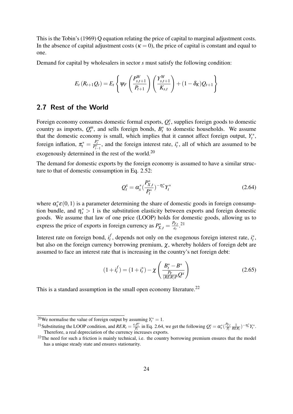This is the Tobin's (1969) Q equation relating the price of capital to marginal adjustment costs. In the absence of capital adjustment costs ( $\kappa = 0$ ), the price of capital is constant and equal to one.

Demand for capital by wholesalers in sector *s* must satisfy the following condition:

$$
E_t(R_{t+1}Q_t) = E_t \left\{ \psi_F \left( \frac{P_{s,t+1}^W}{P_{t+1}} \right) \left( \frac{Y_{s,t+1}^W}{K_{s,t}} \right) + (1 - \delta_K) Q_{t+1} \right\}
$$

## **2.7 Rest of the World**

Foreign economy consumes domestic formal exports,  $Q_t^x$ , supplies foreign goods to domestic country as imports,  $Q_t^m$ , and sells foreign bonds,  $B_t^*$  to domestic households. We assume that the domestic economy is small, which implies that it cannot affect foreign output,  $Y_t^*$ , foreign inflation,  $\pi_t^* = \frac{P_t^*}{P_{t-1}^*}$ , and the foreign interest rate,  $i_t^*$ , all of which are assumed to be exogenously determined in the rest of the world.<sup>20</sup>

The demand for domestic exports by the foreign economy is assumed to have a similar structure to that of domestic consumption in Eq. 2.52:

$$
Q_t^x = \alpha_x^* \left(\frac{P_{X,t}^*}{P_t^*}\right)^{-\eta_x^*} Y_t^*
$$
\n(2.64)

where  $\alpha_x^* \varepsilon(0,1)$  is a parameter determining the share of domestic goods in foreign consumption bundle, and  $\eta_x^* > 1$  is the substitution elasticity between exports and foreign domestic goods. We assume that law of one price (LOOP) holds for domestic goods, allowing us to express the price of exports in foreign currency as  $P_{X,t}^* = \frac{P_{F,t}}{e_t}$  $\frac{P_{F,t}}{e_t}$ .<sup>21</sup>

Interest rate on foreign bond, *i f*  $t_t$ , depends not only on the exogenous foreign interest rate,  $t_t^*$ , but also on the foreign currency borrowing premium,  $\chi$ , whereby holders of foreign debt are assumed to face an interest rate that is increasing in the country's net foreign debt:

$$
(1 + i_t^f) = (1 + i_t^*) - \chi \left( \frac{B_t^* - B^*}{\frac{P_F}{(RER)P} Q^x} \right)
$$
 (2.65)

This is a standard assumption in the small open economy literature.<sup>22</sup>

<sup>&</sup>lt;sup>20</sup>We normalise the value of foreign output by assuming  $Y_t^* = 1$ .

<sup>&</sup>lt;sup>21</sup> Substituting the LOOP condition, and  $RER_t = \frac{e_tP_t^*}{P_t}$  in Eq. 2.64, we get the following  $Q_t^x = \alpha_x^* \left( \frac{P_{t,x}}{P_t} \right)$  $\frac{P_{F,t}}{P_t} \frac{1}{RER_t}$  $- \eta_x^* Y_t^*.$ Therefore, a real depreciation of the currency increases exports.

<sup>&</sup>lt;sup>22</sup>The need for such a friction is mainly technical, i.e. the country borrowing premium ensures that the model has a unique steady state and ensures stationarity.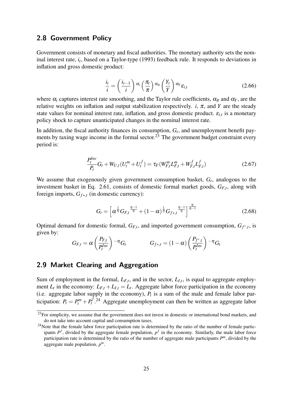### **2.8 Government Policy**

Government consists of monetary and fiscal authorities. The monetary authority sets the nominal interest rate, *i<sup>t</sup>* , based on a Taylor-type (1993) feedback rule. It responds to deviations in inflation and gross domestic product:

$$
\frac{i_t}{i} = \left(\frac{i_{t-1}}{i}\right) \alpha_i \left(\frac{\pi_t}{\pi}\right) \alpha_{\pi} \left(\frac{Y_t}{Y}\right) \alpha_{Y} \varepsilon_{i,t}
$$
\n(2.66)

where  $\alpha_i$  captures interest rate smoothing, and the Taylor rule coefficients,  $\alpha_{\pi}$  and  $\alpha_Y$ , are the relative weights on inflation and output stabilization respectively. *i*,  $\pi$ , and *Y* are the steady state values for nominal interest rate, inflation, and gross domestic product. ε*i*,*<sup>t</sup>* is a monetary policy shock to capture unanticipated changes in the nominal interest rate.

In addition, the fiscal authority finances its consumption, *G<sup>t</sup>* , and unemployment benefit payments by taxing wage income in the formal sector.<sup>23</sup> The government budget constraint every period is:

$$
\frac{P_t^{Inv}}{P_t}G_t + W_{U,t}(U_t^m + U_t^f) = \tau_F(W_{F,t}^m L_{F,t}^m + W_{F,t}^f L_{F,t}^f)
$$
\n(2.67)

We assume that exogenously given government consumption basket, *G<sup>t</sup>* , analogous to the investment basket in Eq. 2.61, consists of domestic formal market goods, *GF*,*<sup>t</sup>* , along with foreign imports,  $G_{f * t}$  (in domestic currency):

$$
G_t = \left[ \alpha^{\frac{1}{\eta}} G_{F,t}^{\frac{\eta-1}{\eta}} + (1-\alpha)^{\frac{1}{\eta}} G_{f*,t}^{\frac{\eta-1}{\eta}} \right]^{\frac{\eta}{\eta-1}}
$$
(2.68)

Optimal demand for domestic formal,  $G_{F,t}$ , and imported government consumption,  $G_{f^*,t}$ , is given by:

$$
G_{F,t} = \alpha \left(\frac{P_{F,t}}{P_t^{Inv}}\right)^{-\eta} G_t \qquad G_{f*,t} = (1-\alpha) \left(\frac{P_{f^*,t}}{P_t^{Inv}}\right)^{-\eta} G_t
$$

## **2.9 Market Clearing and Aggregation**

Sum of employment in the formal,  $L_{F,t}$ , and in the sector,  $L_{I,t}$ , is equal to aggregate employment  $L_t$  in the economy:  $L_{F,t} + L_{I,t} = L_t$ . Aggregate labor force participation in the economy (i.e. aggregate labor supply in the economy),  $P_t$  is a sum of the male and female labor participation:  $P_t = P_t^m + P_t^f$  $t^{f}$ <sup>24</sup> Aggregate unemployment can then be written as aggregate labor

<sup>&</sup>lt;sup>23</sup>For simplicity, we assume that the government does not invest in domestic or international bond markets, and do not take into account capital and consumption taxes.

 $24$ Note that the female labor force participation rate is determined by the ratio of the number of female participants  $P^f$ , divided by the aggregate female population,  $P^f$  in the economy. Similarly, the male labor force participation rate is determined by the ratio of the number of aggregate male participants *P <sup>m</sup>*, divided by the aggregate male population, *p m*.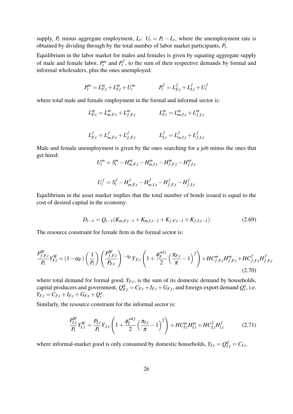supply,  $P_t$  minus aggregate employment,  $L_t$ :  $U_t = P_t - L_t$ , where the unemployment rate is obtained by dividing through by the total number of labor market participants, *P<sup>t</sup>* .

Equilibrium in the labor market for males and females is given by equating aggregate supply of male and female labor,  $P_t^m$  and  $P_t^f$  $t'$ , to the sum of their respective demands by formal and informal wholesalers, plus the ones unemployed:

$$
P_t^m = L_{F,t}^m + L_{I,t}^m + U_t^m \qquad P_t^f = L_{F,t}^f + L_{I,t}^f + U_t^f
$$

where total male and female employment in the formal and informal sector is:

$$
L_{F,t}^m = L_{m,F,t}^m + L_{f,F,t}^m
$$
  
\n
$$
L_{I,t}^m = L_{m,I,t}^m + L_{f,I,t}^m
$$
  
\n
$$
L_{I,t}^f = L_{m,I,t}^f + L_{f,I,t}^f
$$
  
\n
$$
L_{I,t}^f = L_{m,I,t}^f + L_{f,I,t}^f
$$

Male and female unemployment is given by the ones searching for a job minus the ones that get hired:

$$
U_t^m = S_t^m - H_{m,F,t}^m - H_{m,I,t}^m - H_{f,F,t}^m - H_{f,I,t}^m
$$

$$
U_t^f = S_t^f - H_{m,F,t}^f - H_{m,I,t}^f - H_{f,F,t}^f - H_{f,I,t}^f
$$

Equilibrium in the asset market implies that the total number of bonds issued is equal to the cost of desired capital in the economy:

$$
D_{t-1} = Q_{t-1}(K_{m,F,t-1} + K_{m,I,t-1} + K_{f,F,t-1} + K_{f,I,t-1})
$$
\n(2.69)

The resource constraint for female firm in the formal sector is:

$$
\frac{P_{f,F,t}^{W}}{P_t} Y_{F,t}^{W} = (1 - \alpha_F) \left(\frac{1}{P_t}\right) \left(\frac{P_{f,F,t}^{W}}{P_{F,t}}\right) - \eta_F Y_{F,t} \left(1 + \frac{\phi_F^{adj}}{2} \left(\frac{\pi_{F,t}}{\pi} - 1\right)^2\right) + HC_{f,F,t}^{m} H_{f,F,t}^{m} + HC_{f,F,t}^{f} H_{f,F,t}^{f}
$$
\n(2.70)

where total demand for formal good,  $Y_{F,t}$ , is the sum of its domestic demand by households, capital producers and government,  $Q_{F,t}^d = C_{F,t} + I_{F,t} + G_{F,t}$ , and foreign export demand  $Q_t^x$ , i.e.  $Y_{F,t} = C_{F,t} + I_{F,t} + G_{F,t} + Q_t^x$ .

Similarly, the resource constraint for the informal sector is:

$$
\frac{P_{I,t}^{W}}{P_t}Y_{I,t}^{W} = \frac{P_{I,t}}{P_t}Y_{I,t}\left(1 + \frac{\phi_I^{adj}}{2}\left(\frac{\pi_{I,t}}{\pi} - 1\right)^2\right) + HC_{I,t}^{m}H_{I,t}^{m} + HC_{I,t}^{f}H_{i,t}^{f} \tag{2.71}
$$

where informal-market good is only consumed by domestic households,  $Y_{I,t} = Q_{I,t}^d = C_{I,t}$ .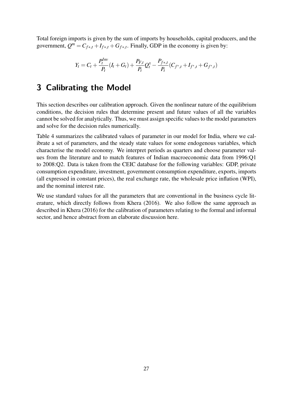Total foreign imports is given by the sum of imports by households, capital producers, and the government,  $Q^m = C_{f*,t} + I_{f*,t} + G_{f*,t}$ . Finally, GDP in the economy is given by:

$$
Y_t = C_t + \frac{P_t^{Inv}}{P_t}(I_t + G_t) + \frac{P_{F,t}}{P_t}Q_t^x - \frac{P_{f*,t}}{P_t}(C_{f^*,t} + I_{f^*,t} + G_{f^*,t})
$$

# **3 Calibrating the Model**

This section describes our calibration approach. Given the nonlinear nature of the equilibrium conditions, the decision rules that determine present and future values of all the variables cannot be solved for analytically. Thus, we must assign specific values to the model parameters and solve for the decision rules numerically.

Table 4 summarizes the calibrated values of parameter in our model for India, where we calibrate a set of parameters, and the steady state values for some endogenous variables, which characterise the model economy. We interpret periods as quarters and choose parameter values from the literature and to match features of Indian macroeconomic data from 1996:Q1 to 2008:Q2. Data is taken from the CEIC database for the following variables: GDP, private consumption expenditure, investment, government consumption expenditure, exports, imports (all expressed in constant prices), the real exchange rate, the wholesale price inflation (WPI), and the nominal interest rate.

We use standard values for all the parameters that are conventional in the business cycle literature, which directly follows from Khera (2016). We also follow the same approach as described in Khera (2016) for the calibration of parameters relating to the formal and informal sector, and hence abstract from an elaborate discussion here.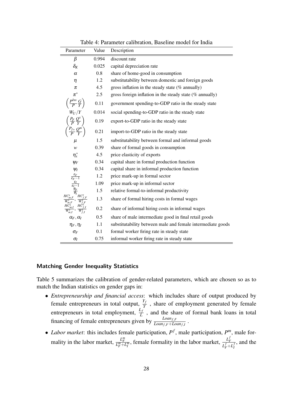Table 4: Parameter calibration, Baseline model for India

| Parameter                                                                                                                                                                                                                                                               | Value   | Description                                                 |
|-------------------------------------------------------------------------------------------------------------------------------------------------------------------------------------------------------------------------------------------------------------------------|---------|-------------------------------------------------------------|
| β                                                                                                                                                                                                                                                                       | 0.994   | discount rate                                               |
| $\delta_K$                                                                                                                                                                                                                                                              | 0.025   | capital depreciation rate                                   |
| $\alpha$                                                                                                                                                                                                                                                                | $0.8\,$ | share of home-good in consumption                           |
| $\eta$                                                                                                                                                                                                                                                                  | 1.2     | substitutability between domestic and foreign goods         |
| π                                                                                                                                                                                                                                                                       | 4.5     | gross inflation in the steady state $(\%$ annually)         |
| $\pi^*$                                                                                                                                                                                                                                                                 | 2.5     | gross foreign inflation in the steady state $(\%$ annually) |
|                                                                                                                                                                                                                                                                         | 0.11    | government spending-to-GDP ratio in the steady state        |
|                                                                                                                                                                                                                                                                         | 0.014   | social spending-to-GDP ratio in the steady state            |
| $\left(\frac{P^{Inv}}{P}\frac{G}{Y}\right) \ W_U/Y \ \left(\frac{P_F}{P}\frac{Q^x}{Y}\right)$                                                                                                                                                                           | 0.19    | export-to-GDP ratio in the steady state                     |
|                                                                                                                                                                                                                                                                         | 0.21    | import-to-GDP ratio in the steady state                     |
| $\mu$                                                                                                                                                                                                                                                                   | 1.5     | substitutability between formal and informal goods          |
| w                                                                                                                                                                                                                                                                       | 0.39    | share of formal goods in consumption                        |
| $\eta_x^*$                                                                                                                                                                                                                                                              | 4.5     | price elasticity of exports                                 |
| $\psi_F$                                                                                                                                                                                                                                                                | 0.34    | capital share in formal production function                 |
| $\Psi_I$                                                                                                                                                                                                                                                                | 0.34    | capital share in informal production function               |
|                                                                                                                                                                                                                                                                         | 1.2     | price mark-up in formal sector                              |
|                                                                                                                                                                                                                                                                         | 1.09    | price mark-up in informal sector                            |
|                                                                                                                                                                                                                                                                         | 1.5     | relative formal-to-informal productivity                    |
| $\frac{\varepsilon_F}{\varepsilon_F-1} \ \frac{\varepsilon_F}{\varepsilon_I-1} \ \frac{\varepsilon_I}{\varepsilon_I-1} \ \frac{\theta_F}{W_{m,F}^S} \ \frac{HC_f^s}{W_{m,F}^S} \ \frac{HC_{m,I}^s}{W_{m,I}^S} \ \frac{HC_{m,I}^S}{W^s} \ldots \ \frac{HC_{m,I}^S}{W^s}$ | 1.3     | share of formal hiring costs in formal wages                |
|                                                                                                                                                                                                                                                                         | 0.2     | share of informal hiring costs in informal wages            |
| $\alpha_F, \alpha_I$                                                                                                                                                                                                                                                    | 0.5     | share of male intermediate good in final retail goods       |
| $\eta_F, \eta_I$                                                                                                                                                                                                                                                        | 1.1     | substitutability between male and female intermediate goods |
| $\sigma_F$                                                                                                                                                                                                                                                              | 0.1     | formal worker firing rate in steady state                   |
| $\sigma$ <sub>I</sub>                                                                                                                                                                                                                                                   | 0.75    | informal worker firing rate in steady state                 |

#### **Matching Gender Inequality Statistics**

Table 5 summarizes the calibration of gender-related parameters, which are chosen so as to match the Indian statistics on gender gaps in:

- *Entrepreneurship and financial access*: which includes share of output produced by female entrepreneurs in total output,  $\frac{Y_f}{Y}$ , share of employment generated by female entrepreneurs in total employment,  $\frac{L_f}{L}$ , and the share of formal bank loans in total financing of female entrepreneurs given by  $\frac{Loan_{f,F}}{Loan_{f,F} + Loan_{f,I}}$ .
- *Labor market*: this includes female participation,  $P^f$ , male participation,  $P^m$ , male formality in the labor market,  $\frac{L_F^m}{L_F^m + L_I^m}$ , female formality in the labor market,  $\frac{L_F^f}{L_F^f + L_I^m}$  $L^f_F+L^f_I$ , and the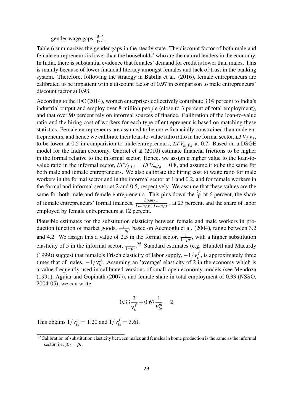gender wage gaps,  $\frac{W^m}{W^f}$ .

Table 6 summarizes the gender gaps in the steady state. The discount factor of both male and female entrepreneurs is lower than the households' who are the natural lenders in the economy. In India, there is substantial evidence that females' demand for credit is lower than males. This is mainly because of lower financial literacy amongst females and lack of trust in the banking system. Therefore, following the strategy in Babilla et al. (2016), female entrepreneurs are calibrated to be impatient with a discount factor of 0.97 in comparison to male entrepreneurs' discount factor at 0.98.

According to the IFC (2014), women enterprises collectively contribute 3.09 percent to India's industrial output and employ over 8 million people (close to 3 percent of total employment), and that over 90 percent rely on informal sources of finance. Calibration of the loan-to-value ratio and the hiring cost of workers for each type of entrepreneur is based on matching these statistics. Female entrepreneurs are assumed to be more financially constrained than male entrepreneurs, and hence we calibrate their loan-to-value ratio ratio in the formal sector, *LTVf*,*F*,*<sup>t</sup>* , to be lower at 0.5 in comparision to male entrepreneurs, *LTVm*,*F*,*<sup>t</sup>* at 0.7. Based on a DSGE model for the Indian economy, Gabriel et al (2010) estimate financial frictions to be higher in the formal relative to the informal sector. Hence, we assign a higher value to the loan-tovalue ratio in the informal sector,  $LTV_{f,I,t} = LTV_{m,I,t} = 0.8$ , and assume it to be the same for both male and female entrepreneurs. We also calibrate the hiring cost to wage ratio for male workers in the formal sector and in the informal sector at 1 and 0.2, and for female workers in the formal and informal sector at 2 and 0.5, respectively. We assume that these values are the same for both male and female entrepreneurs. This pins down the  $\frac{Y_f}{Y}$  at 6 percent, the share of female entrepreneurs' formal finances, *Loanf*,*<sup>F</sup> Loanf*,*F*+*Loanf*,*<sup>I</sup>* , at 23 percent, and the share of labor employed by female entrepreneurs at 12 percent.

Plausible estimates for the substitution elasticity between female and male workers in production function of market goods,  $\frac{1}{1-\rho_s}$ , based on Acemoglu et al. (2004), range between 3.2 and 4.2. We assign this a value of 2.5 in the formal sector,  $\frac{1}{1-\rho_F}$ , with a higher substitution elasticity of 5 in the informal sector,  $\frac{1}{1-\rho_I}$ .<sup>25</sup> Standard estimates (e.g. Blundell and Macurdy (1999)) suggest that female's Frisch elasticity of labor supply,  $-1/v_{le}^f$ , is approximately three times that of males,  $-1/v_{le}^m$ . Assuming an 'average' elasticity of 2 in the economy which is a value frequently used in calibrated versions of small open economy models (see Mendoza (1991), Aguiar and Gopinath (2007)), and female share in total employment of 0.33 (NSSO, 2004-05), we can write:

$$
0.33\frac{3}{v_{le}^f} + 0.67\frac{1}{v_{le}^m} = 2
$$

This obtains  $1/v_{le}^{m} = 1.20$  and  $1/v_{le}^{f} = 3.61$ .

<sup>&</sup>lt;sup>25</sup>Calibration of substitution elasticity between males and females in home production is the same as the informal sector, i.e.  $\rho_H = \rho_I$ .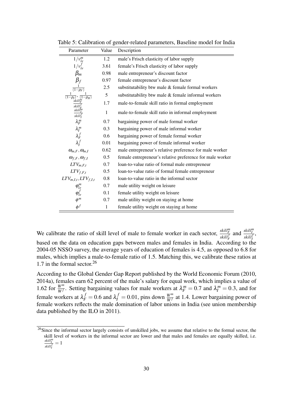| Parameter                    | Value        | Description                                               |
|------------------------------|--------------|-----------------------------------------------------------|
| $1/v_{le}^m$                 | 1.2          | male's Frisch elasticity of labor supply                  |
| $1/v_{le}^f$                 | 3.61         | female's Frisch elasticity of labor supply                |
| $\beta_m$                    | 0.98         | male entrepreneur's discount factor                       |
| $\beta_f$                    | 0.97         | female entrepreneur's discount factor                     |
| $\frac{1}{(1-\rho_F)}$       | 2.5          | substitutability btw male & female formal workers         |
|                              | 5            | substitutability btw male & female informal workers       |
| skil                         | 1.7          | male-to-female skill ratio in formal employment           |
| skilİ"<br>skill <sup>1</sup> | $\mathbf{1}$ | male-to-female skill ratio in informal employment         |
| $\lambda_F^m$                | 0.7          | bargaining power of male formal worker                    |
| $\lambda_I^m$                | 0.3          | bargaining power of male informal worker                  |
| $\lambda_F^f$ $\lambda_I^f$  | 0.6          | bargaining power of female formal worker                  |
|                              | 0.01         | bargaining power of female informal worker                |
| $\omega_{m,F},\omega_{m,I}$  | 0.62         | male entrepreneur's relative preference for male worker   |
| $\omega_{f,F}, \omega_{f,I}$ | 0.5          | female entrepreneur's relative preference for male worker |
| $LTV_{m,F,t}$                | 0.7          | loan-to-value ratio of formal male entrepreneur           |
| $LTV_{f,F,t}$                | 0.5          | loan-to-value ratio of formal female entrepreneur         |
| $LTV_{m,I,t}, LTV_{f,I,t}$   | 0.8          | loan-to-value ratio in the informal sector                |
| $\varphi_{le}^m$             | 0.7          | male utility weight on leisure                            |
| $\varphi_{le}^f$             | 0.1          | female utility weight on leisure                          |
| $\phi^m$                     | 0.7          | male utility weight on staying at home                    |
| $\phi^f$                     | 1            | female utility weight on staying at home                  |

Table 5: Calibration of gender-related parameters, Baseline model for India

We calibrate the ratio of skill level of male to female worker in each sector,  $\frac{skill_F^F}{skill_F^F}$ and  $\frac{skill_I^m}{skill_I^f}$ , based on the data on education gaps between males and females in India. According to the 2004-05 NSSO survey, the average years of education of females is 4.5, as opposed to 6.8 for males, which implies a male-to-female ratio of 1.5. Matching this, we calibrate these ratios at 1.7 in the formal sector.<sup>26</sup>

According to the Global Gender Gap Report published by the World Economic Forum (2010, 2014a), females earn 62 percent of the male's salary for equal work, which implies a value of 1.62 for  $\frac{W^m}{W^f}$ . Setting bargaining values for male workers at  $\lambda_F^m = 0.7$  and  $\lambda_I^m = 0.3$ , and for female workers at  $\lambda_F^f = 0.6$  and  $\lambda_I^f = 0.01$ , pins down  $\frac{W^m}{W^f}$  at 1.4. Lower bargaining power of female workers reflects the male domination of labor unions in India (see union membership data published by the ILO in 2011).

<sup>&</sup>lt;sup>26</sup>Since the informal sector largely consists of unskilled jobs, we assume that relative to the formal sector, the skill level of workers in the informal sector are lower and that males and females are equally skilled, i.e. *skill<sup>m</sup> I skill <sup>f</sup> I*  $= 1$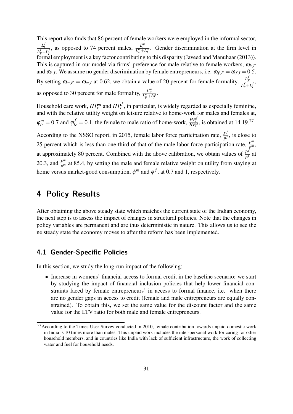This report also finds that 86 percent of female workers were employed in the informal sector, *L f I*  $L^f_F+L^f_I$ , as opposed to 74 percent males,  $\frac{L_T^m}{L_F^m + L_T^m}$ . Gender discrimination at the firm level in formal employment is a key factor contributing to this disparity (Javeed and Manuhaar (2013)). This is captured in our model via firms' preference for male relative to female workers,  $\omega_{h,F}$ and  $\omega_{h,I}$ . We assume no gender discrimination by female entrepreneurs, i.e.  $\omega_{f,F} = \omega_{f,I} = 0.5$ . By setting  $\omega_{m,F} = \omega_{m,I}$  at 0.62, we obtain a value of 20 percent for female formality,  $\frac{L_f^f}{L_f^f}$  $L^f_F+L^J_I$ , as opposed to 30 percent for male formality,  $\frac{L_F^m}{L_F^m + L_I^m}$ .

Household care work,  $HP_t^m$  and  $HP_t^f$ , in particular, is widely regarded as especially feminine, and with the relative utility weight on leisure relative to home-work for males and females at,  $\varphi_{le}^m = 0.7$  and  $\varphi_{le}^f = 0.1$ , the female to male ratio of home-work,  $\frac{HP_t^f}{HP_t^m}$ , is obtained at 14.19.<sup>27</sup>

According to the NSSO report, in 2015, female labor force participation rate,  $\frac{P^j}{R}$  $\frac{P^j}{p^f}$ , is close to 25 percent which is less than one-third of that of the male labor force participation rate,  $P_m^m$ *p m* , at approximately 80 percent. Combined with the above calibration, we obtain values of  $\frac{P^j}{R^j}$  $\frac{P^j}{p^f}$  at 20.3, and  $\frac{P^m}{p^m}$  $P^m$  at 85.4, by setting the male and female relative weight on utility from staying at home versus market-good consumption,  $\phi^m$  and  $\phi^f$ , at 0.7 and 1, respectively.

# **4 Policy Results**

After obtaining the above steady state which matches the current state of the Indian economy, the next step is to assess the impact of changes in structural policies. Note that the changes in policy variables are permanent and are thus deterministic in nature. This allows us to see the ne steady state the economy moves to after the reform has been implemented.

## **4.1 Gender-Specific Policies**

In this section, we study the long-run impact of the following:

• Increase in womens' financial access to formal credit in the baseline scenario: we start by studying the impact of financial inclusion policies that help lower financial constraints faced by female entrepreneurs' in access to formal finance, i.e. when there are no gender gaps in access to credit (female and male entrepreneurs are equally constrained). To obtain this, we set the same value for the discount factor and the same value for the LTV ratio for both male and female entrepreneurs.

 $27$ According to the Times User Survey conducted in 2010, female contribution towards unpaid domestic work in India is 10 times more than males. This unpaid work includes the inter-personal work for caring for other household members, and in countries like India with lack of sufficient infrastructure, the work of collecting water and fuel for household needs.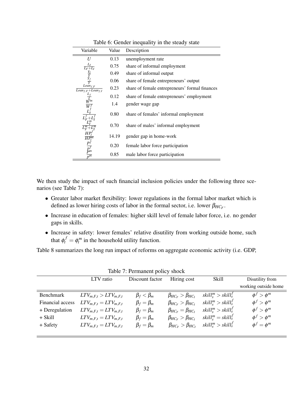| Variable                                                                                | Value | Description                                    |
|-----------------------------------------------------------------------------------------|-------|------------------------------------------------|
| U                                                                                       | 0.13  | unemployment rate                              |
| $\begin{array}{c}\nL_I \\ \frac{Y_I}{Y} \\ \frac{Y_I}{Y} \\ \frac{Y_f}{Y}\n\end{array}$ | 0.75  | share of informal employment                   |
|                                                                                         | 0.49  | share of informal output                       |
|                                                                                         | 0.06  | share of female entrepreneurs' output          |
| $Loan_{f,F}$<br>$Loan_{f,F}+Loan_{f,I}$                                                 | 0.23  | share of female entrepreneurs' formal finances |
|                                                                                         | 0.12  | share of female entrepreneurs' employment      |
| $\tilde{W}^{n}$<br>$\overline{W}$                                                       | 1.4   | gender wage gap                                |
|                                                                                         | 0.80  | share of females' informal employment          |
|                                                                                         | 0.70  | share of males' informal employment            |
| $\overline{HP_t^n}$                                                                     | 14.19 | gender gap in home-work                        |
| $P^j$                                                                                   | 0.20  | female labor force participation               |
| $p_m^f$<br>$n^{m}$                                                                      | 0.85  | male labor force participation                 |

Table 6: Gender inequality in the steady state

We then study the impact of such financial inclusion policies under the following three scenarios (see Table 7):

- Greater labor market flexibility: lower regulations in the formal labor market which is defined as lower hiring costs of labor in the formal sector, i.e. lower  $\beta_{HC_F}$ .
- Increase in education of females: higher skill level of female labor force, i.e. no gender gaps in skills.
- Increase in safety: lower females' relative disutility from working outside home, such that  $\phi_t^f = \phi_t^m$  in the household utility function.

Table 8 summarizes the long run impact of reforms on aggregate economic activity (i.e. GDP,

|                  | LTV ratio                   | Discount factor     | Hiring cost                   | Skill                                             | Disutility from      |
|------------------|-----------------------------|---------------------|-------------------------------|---------------------------------------------------|----------------------|
|                  |                             |                     |                               |                                                   | working outside home |
| <b>Benchmark</b> | $LTV_{m,F,t} > LTV_{m,F,t}$ | $\beta_f < \beta_m$ | $\beta_{HC_F} > \beta_{HC_I}$ | $\{skill_s^m > skill_s^J\}$                       | $\phi^f > \phi^m$    |
| Financial access | $LTV_{m,F,t} = LTV_{m,F,t}$ | $\beta_f = \beta_m$ | $\beta_{HC_F} > \beta_{HC_I}$ | skill $l_s^m >$ skill $l_s^f$                     | $\phi^f > \phi^m$    |
| + Deregulation   | $LTV_{m,F,t} = LTV_{m,F,t}$ | $\beta_f = \beta_m$ | $\beta_{HC_F} = \beta_{HC_I}$ | $\{skill_s^m > skill_s^f\}$                       | $\phi^f > \phi^m$    |
| + Skill          | $LTV_{m,F,t} = LTV_{m,F,t}$ | $\beta_f = \beta_m$ | $\beta_{HC_F} > \beta_{HC_I}$ | $skill_s^m = skill_s^f$                           | $\phi^f > \phi^m$    |
| + Safety         | $LTV_{m,F,t} = LTV_{m,F,t}$ | $\beta_f = \beta_m$ | $\beta_{HC_F} > \beta_{HC_I}$ | $\textit{skill}_{s}^{m} > \textit{skill}_{s}^{J}$ | $\phi^f = \phi^m$    |
|                  |                             |                     |                               |                                                   |                      |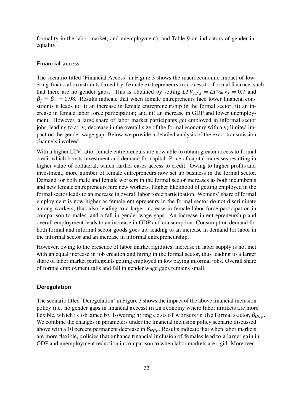formality in the labor market, and unemployment), and Table 9 on indicators of gender inequality.

#### **Financial access**

The scenario titled 'Financial Access' in Figure 3 shows the macroeconomic impact of lowering financial constraints f a ced by f e male en trepreneurs in a c cess to f ormal finance, such that there are no gender gaps. This is obtained by setting  $LTV_{f,F,t} = LTV_{m,F,t} = 0.7$  and  $\beta_f = \beta_m = 0.98$ . Results indicate that when female entrepreneurs face lower financial constraints it leads to: i) an increase in female entrepreneurship in the formal sector; ii) an increase in female labor force participation; and iii) an increase in GDP and lower unemployment. However, a large share of labor market participants get employed in informal sector jobs, leading to a: iv) decrease in the overall size of the formal economy with a v) limited impact on the gender wage gap. Below we provide a detailed analysis of the exact transmission channels involved.

With a higher LTV ratio, female entrepreneurs are now able to obtain greater access to formal credit which boosts investment and demand for capital. Price of capital increases resulting in higher value of collateral, which further eases access to credit. Owing to higher profits and investment, more number of female entrepreneurs now set up business in the formal sector. Demand for both male and female workers in the formal sector increases as both incumbents and new female entrepreneurs hire new workers. Higher likelihood of getting employed in the formal sector leads to an increase in overall labor force participation. Womens' share of formal employment is now higher as female entrepreneurs in the formal sector do not discriminate among workers, thus also leading to a larger increase in female labor force participation in comparison to males, and a fall in gender wage gaps. An increase in entrepreneurship and overall employment leads to an increase in GDP and consumption. Consumption demand for both formal and informal sector goods goes up, leading to an increase in demand for labor in the informal sector and an increase in informal entrepreneurship.

However, owing to the presence of labor market rigidities, increase in labor supply is not met with an equal increase in job creation and hiring in the formal sector, thus leading to a larger share of labor market participants getting employed in low paying informal jobs. Overall share of formal employment falls and fall in gender wage gaps remains small.

#### **Deregulation**

The scenario titled 'Deregulation' in Figure 3 shows the impact of the above financial inclusion policy (i.e. no gender gaps in financial access) in an economy where labor markets are more flexible, which is obtained by lowering hiring costs of workers in the formal sector,  $\beta_{HC_F}$ . We combine the changes in parameters under the financial inclusion policy scenario discussed above with a 10 percent permanent decrease in  $\beta_{HC_F}$ . Results indicate that when labor markets are more flexible, p olicies t hat e nhance fi nancial inclusion of females lead to a la rger gain in GDP and unemployment reduction in comparison to when labor markets are rigid. Moreover,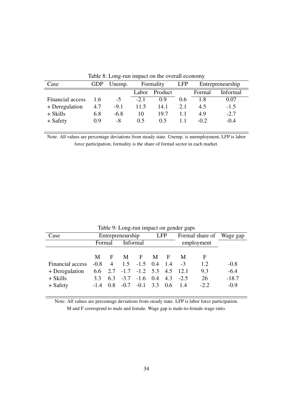| Case             | GDP | Unemp. |                  | Formality | <b>LFP</b> | Entrepreneurship |          |  |
|------------------|-----|--------|------------------|-----------|------------|------------------|----------|--|
|                  |     |        | Product<br>Labor |           |            | Formal           | Informal |  |
| Financial access | 1.6 | $-5$   | $-2.1$           | 0.9       | 0.6        | 1.8              | 0.07     |  |
| + Deregulation   | 4.7 | $-9.1$ | 11.5             | 14.1      | 2.1        | 4.5              | $-1.5$   |  |
| + Skills         | 6.8 | $-6.8$ | 10               | 19.7      |            | 4.9              | $-2.7$   |  |
| + Safety         | 0.9 | -8     | 0.5              | 0.5       |            | $-0.2$           | $-0.4$   |  |

Table 8: Long-run impact on the overall economy

Note: All values are percentage deviations from steady state. Unemp. is unemployment, LFP is labor force participation, formality is the share of formal sector in each market.

| Table 2. Long Tun impact on genuer gaps |                                  |   |             |            |   |                                                                      |                                                               |                          |  |
|-----------------------------------------|----------------------------------|---|-------------|------------|---|----------------------------------------------------------------------|---------------------------------------------------------------|--------------------------|--|
| Entrepreneurship                        |                                  |   |             | <b>LFP</b> |   |                                                                      |                                                               |                          |  |
|                                         | Informal<br>employment<br>Formal |   |             |            |   |                                                                      |                                                               |                          |  |
|                                         |                                  |   |             |            |   |                                                                      |                                                               |                          |  |
|                                         |                                  |   |             |            |   | M                                                                    | F                                                             |                          |  |
| $-0.8$                                  | $\overline{4}$                   |   |             |            |   | $-3$                                                                 | 1.2                                                           | $-0.8$                   |  |
|                                         |                                  |   |             |            |   |                                                                      | 9.3                                                           | $-6.4$                   |  |
| 3.3                                     |                                  |   |             |            |   |                                                                      | 26                                                            | $-18.7$                  |  |
| $-1.4$                                  | 0.8                              |   |             |            |   |                                                                      | $-2.2$                                                        | $-0.9$                   |  |
|                                         | M                                | F | M<br>$-0.7$ | F          | M | F<br>$1.5 -1.5$ 0.4 1.4<br>$6.3 -3.7 -1.6$ 0.4 4.3<br>$-0.1$ 3.3 0.6 | $6.6$ $2.7$ $-1.7$ $-1.2$ $5.3$ $4.5$ $12.1$<br>$-2.5$<br>1.4 | Formal share of Wage gap |  |

Table 9: Long-run impact on gender gaps

Note: All values are percentage deviations from steady state. LFP is labor force participation. M and F correspond to male and female. Wage gap is male-to-female wage ratio.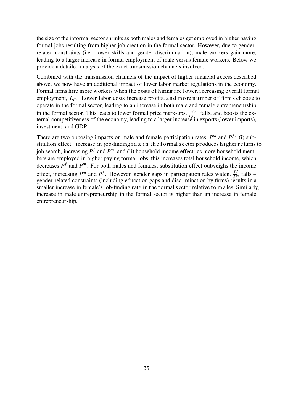the size of the informalsectorshrinks as both males and females get employed in higher paying formal jobs resulting from higher job creation in the formal sector. However, due to genderrelated constraints (i.e. lower skills and gender discrimination), male workers gain more, leading to a larger increase in formal employment of male versus female workers. Below we provide a detailed analysis of the exact transmission channels involved.

Combined with the transmission channels of the impact of higher financial a ccess described above, we now have an additional impact of lower labor market regulations in the economy. Formal firms hire more workers when the costs of hiring are lower, increasing overall formal employment,  $L_F$ . Lower labor costs increase profits, and more number of firm s choose to operate in the formal sector, leading to an increase in both male and female entrepreneurship in the formal sector. This leads to lower formal price mark-ups,  $\frac{\varepsilon_F}{\varepsilon_F}$  $\frac{F}{\tau}$  falls, and boosts the external competitiveness of the economy, leading to a larger increase in exports (lower imports), investment, and GDP.

There are two opposing impacts on male and female participation rates,  $P^m$  and  $P^f$ : (i) substitution effect: increase in job-finding rate in the formal sector produces higher returns to job search, increasing *P f* and *P <sup>m</sup>*, and (ii) household income effect: as more household members are employed in higher paying formal jobs, this increases total household income, which decreases  $P^f$  and  $P^m$ . For both males and females, substitution effect outweighs the income effect, increasing  $P^m$  and  $P^f$ . However, gender gaps in participation rates widen,  $\frac{P^f}{P^{m}}$  $\int_{m}^{f}$  falls – gender-related constraints (including education gaps and discrimination by firms) results in a smaller increase in female's job-finding rate in the formal sector relative to m a les. Similarly, increase in male entrepreneurship in the formal sector is higher than an increase in female entrepreneurship.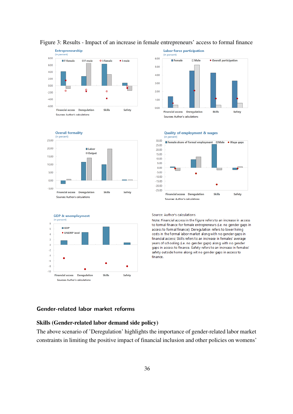











#### **Quality of employment & wages**

#### Source: Author's calculations

Note: Financial access in the figure refers to an increase in access to formal finance for female entrepreneurs (i.e. no gender gaps in access to formal finance); Deregulation refers to lower hiring costs in the formal labor market along with no gender gaps in financial access; Skills refers to an increase in females' average years of schooling (i.e. no gender gaps) along with no gender gaps in access to finance. Safety refers to an increase in females' safety outside home along wit no gender gaps in access to finance.

#### **Gender-related labor market reforms**

#### Skills (Gender-related labor demand side policy)

The above scenario of 'Deregulation' highlights the importance of gender-related labor market constraints in limiting the positive impact of financial inclusion and other policies on womens'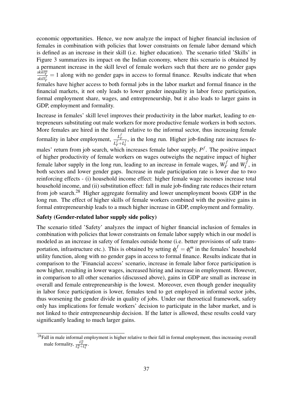economic opportunities. Hence, we now analyze the impact of higher financial inclusion of females in combination with policies that lower constraints on female labor demand which is defined as an increase in their skill (i.e. higher education). The scenario titled 'Skills' in Figure 3 summarizes its impact on the Indian economy, where this scenario is obtained by a permanent increase in the skill level of female workers such that there are no gender gaps  $\frac{\textit{skill}_F^m}{\textit{Full}_F^m} = 1$  along with no gender gaps in access to formal finance. Results indicate that when  $\overline{skill^f_{r}}$  $F_{\text{F}}^{Mn}$  females have higher access to both formal jobs in the labor market and formal finance in the financial markets, it not only leads to lower gender inequality in labor force participation, formal employment share, wages, and entrepreneurship, but it also leads to larger gains in GDP, employment and formality.

Increase in females' skill level improves their productivity in the labor market, leading to entrepreneurs substituting out male workers for more productive female workers in both sectors. More females are hired in the formal relative to the informal sector, thus increasing female formality in labor employment,  $\frac{L_F^f}{L_F^f}$  $\frac{L_F}{L_F^f + L_I^f}$ , in the long run. Higher job-finding rate increases females' return from job search, which increases female labor supply,  $P^f$ . The positive impact of higher productivity of female workers on wages outweighs the negative impact of higher female labor supply in the long run, leading to an increase in female wages, *W f*  $W_f^f$  and  $W_f^f$  $I_I^{J}$ , in both sectors and lower gender gaps. Increase in male participation rate is lower due to two reinforcing effects - (i) household income effect: higher female wage incomes increase total household income, and (ii) substitution effect: fall in male job-finding rate reduces their return from job search.<sup>28</sup> Higher aggregate formality and lower unemployment boosts GDP in the long run. The effect of higher skills of female workers combined with the positive gains in formal entrepreneurship leads to a much higher increase in GDP, employment and formality.

#### Safety (Gender-related labor supply side policy)

The scenario titled 'Safety' analyzes the impact of higher financial inclusion of females in combination with policies that lower constraints on female labor supply which in our model is modeled as an increase in safety of females outside home (i.e. better provisions of safe transportation, infrastructure etc.). This is obtained by setting  $\phi_t^f = \phi_t^m$  in the females' household utility function, along with no gender gaps in access to formal finance. Results indicate that in comparison to the 'Financial access' scenario, increase in female labor force participation is now higher, resulting in lower wages, increased hiring and increase in employment. However, in comparison to all other scenarios (discussed above), gains in GDP are small as increase in overall and female entrepreneurship is the lowest. Moreover, even though gender inequality in labor force participation is lower, females tend to get employed in informal sector jobs, thus worsening the gender divide in quality of jobs. Under our theroetical framework, safety only has implications for female workers' decision to participate in the labor market, and is not linked to their entrepreneurship decision. If the latter is allowed, these results could vary significantly leading to much larger gains.

<sup>&</sup>lt;sup>28</sup>Fall in male informal employment is higher relative to their fall in formal employment, thus increasing overall male formality,  $\frac{L_F^m}{L_F^m + L_I^m}$ .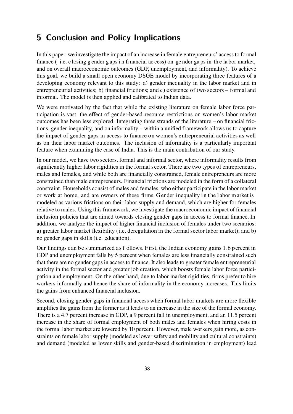# **5 Conclusion and Policy Implications**

In this paper, we investigate the impact of an increase in female entrepreneurs' access to formal finance ( i.e. c losing g ender g aps i n fi nancial ac cess) on ge nder ga ps in th e la bor market, and on overall macroeconomic outcomes (GDP, unemployment, and informality). To achieve this goal, we build a small open economy DSGE model by incorporating three features of a developing economy relevant to this study: a) gender inequality in the labor market and in entrepreneurial activities; b) financial frictions; and c) existence of two sectors – formal and informal. The model is then applied and calibrated to Indian data.

We were motivated by the fact that while the existing literature on female labor force participation is vast, the effect of gender-based resource restrictions on women's labor market outcomes has been less explored. Integrating three strands of the literature – on financial frictions, gender inequality, and on informality – within a unified framework allows us to capture the impact of gender gaps in access to finance on women's entrepreneurial activities as well as on their labor market outcomes. The inclusion of informality is a particularly important feature when examining the case of India. This is the main contribution of our study.

In our model, we have two sectors, formal and informal sector, where informality results from significantly higher labor rigidities in the formal sector. There are two types of entrepreneurs, males and females, and while both are financially constrained, female entrepreneurs are more constrained than male entrepreneurs. Financial frictions are modeled in the form of a collateral constraint. Households consist of males and females, who either participate in the labor market or work at home, and are owners of these firms. G ender i nequality i n t he l abor m arket is modeled as various frictions on their labor supply and demand, which are higher for females relative to males. Using this framework, we investigate the macroeconomic impact of financial inclusion policies that are aimed towards closing gender gaps in access to formal finance. In addition, we analyze the impact of higher financial inclusion of females under two scenarios: a) greater labor market flexibility (i.e. deregulation in the formal sector labor market); and b) no gender gaps in skills (i.e. education).

Our findings can be summarized as f ollows. First, the Indian economy gains 1.6 percent in GDP and unemployment falls by 5 percent when females are less financially constrained such that there are no gender gaps in access to finance. It also leads to greater female entrepreneurial activity in the formal sector and greater job creation, which boosts female labor force participation and employment. On the other hand, due to labor market rigidities, firms prefer to hire workers informally and hence the share of informality in the economy increases. This limits the gains from enhanced financial inclusion.

Second, closing gender gaps in financial access when formal labor markets are more flexible amplifies the gains from the former as it leads to an increase in the size of the formal economy. There is a 4.7 percent increase in GDP, a 9 percent fall in unemployment, and an 11.5 percent increase in the share of formal employment of both males and females when hiring costs in the formal labor market are lowered by 10 percent. However, male workers gain more, as constraints on female labor supply (modeled as lower safety and mobility and cultural constraints) and demand (modeled as lower skills and gender-based discrimination in employment) lead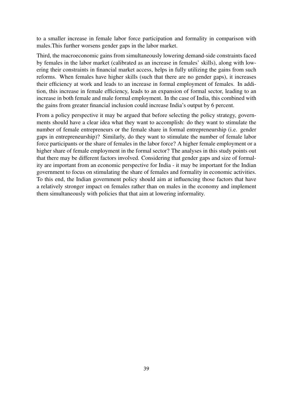to a smaller increase in female labor force participation and formality in comparison with males.This further worsens gender gaps in the labor market.

Third, the macroeconomic gains from simultaneously lowering demand-side constraints faced by females in the labor market (calibrated as an increase in females' skills), along with lowering their constraints in financial market access, helps in fully utilizing the gains from such reforms. When females have higher skills (such that there are no gender gaps), it increases their efficiency at work and leads to an increase in formal employment of females. In addition, this increase in female efficiency, leads to an expansion of formal sector, leading to an increase in both female and male formal employment. In the case of India, this combined with the gains from greater financial inclusion could increase India's output by 6 percent.

From a policy perspective it may be argued that before selecting the policy strategy, governments should have a clear idea what they want to accomplish: do they want to stimulate the number of female entrepreneurs or the female share in formal entrepreneurship (i.e. gender gaps in entrepreneurship)? Similarly, do they want to stimulate the number of female labor force participants or the share of females in the labor force? A higher female employment or a higher share of female employment in the formal sector? The analyses in this study points out that there may be different factors involved. Considering that gender gaps and size of formality are important from an economic perspective for India - it may be important for the Indian government to focus on stimulating the share of females and formality in economic activities. To this end, the Indian government policy should aim at influencing those factors that have a relatively stronger impact on females rather than on males in the economy and implement them simultaneously with policies that that aim at lowering informality.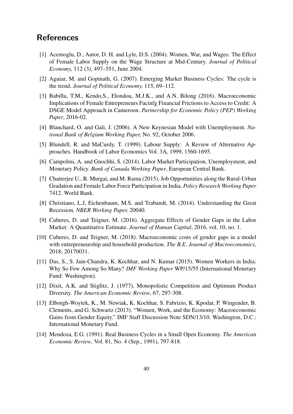# **References**

- [1] Acemoglu, D., Autor, D. H. and Lyle, D.S. (2004). Women, War, and Wages: The Effect of Female Labor Supply on the Wage Structure at Mid-Century. *Journal of Political Economy,* 112 (3), 497–551, June 2004.
- [2] Aguiar, M. and Gopinath, G. (2007). Emerging Market Business Cycles: The cycle is the trend. *Journal of Political Economy,* 115, 69–112.
- [3] Babilla, T.M., Kendo, S., Elondou, M.J.K., and A.N. Bilong (2016). Macroeconomic Implications of Female Entrepreneurs Facinfg Financial Frictions to Access to Credit: A DSGE Model Approach in Cameroon. *Partnership for Economic Policy (PEP) Working Paper*, 2016-02.
- [4] Blanchard, O. and Gali, J. (2006). A New Keynesian Model with Unemployment. *National Bank of Belgium Working Paper,* No. 92, October 2006.
- [5] Blundell, R. and MaCurdy, T. (1999). Labour Supply: A Review of Alternative Approaches. Handbook of Labor Economics Vol. 3A, 1999, 1560-1695.
- [6] Campolmi, A. and Gnochhi, S. (2014). Labor Market Participation, Unemployment, and Monetary Policy. *Bank of Canada Working Paper*, European Central Bank.
- [7] Chatterjee U., R. Murgai, and M. Rama (2015). Job Opportunities along the Rural-Urban Gradation and Female Labor Force Participation in India, *Policy Research Working Paper* 7412. World Bank.
- [8] Christiano, L.J, Eichenbaum, M.S. and Trabandt, M. (2014). Understanding the Great Recession. *NBER Working Paper,* 20040.
- [9] Cuberes, D. and Teigner, M. (2016). Aggregate Effects of Gender Gaps in the Labor Market: A Quantitative Estimate. *Journal of Human Capital*, 2016, vol. 10, no. 1.
- [10] Cuberes, D. and Teigner, M. (2018). Macroeconomic costs of gender gaps in a model with entrepreneurship and household production. *The B.E. Journal of Macroeconomics*, 2018; 20170031.
- [11] Das, S., S. Jain-Chandra, K. Kochhar, and N. Kumar (2015). Women Workers in India: Why So Few Among So Many? *IMF Working Paper* WP/15/55 (International Monetary Fund: Washington).
- [12] Dixit, A.K. and Stiglitz, J. (1977). Monopolistic Competition and Optimum Product Diversity. *The American Economic Review*, 67, 297-308.
- [13] Elborgh-Woytek, K., M. Newiak, K. Kochhar, S. Fabrizio, K. Kpodar, P. Wingender, B. Clements, and G. Schwartz (2013). "Women, Work, and the Economy: Macroeconomic Gains from Gender Equity." IMF Staff Discussion Note SDN/13/10. Washington, D.C.: International Monetary Fund.
- [14] Mendoza, E.G. (1991). Real Business Cycles in a Small Open Economy. *The American Economic Review*, Vol. 81, No. 4 (Sep., 1991), 797-818.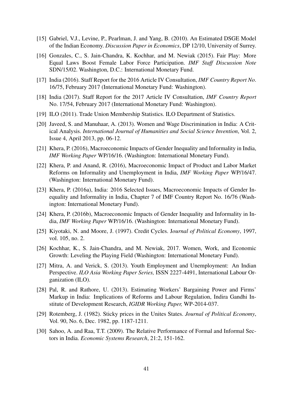- [15] Gabriel, V.J., Levine, P., Pearlman, J. and Yang, B. (2010). An Estimated DSGE Model of the Indian Economy. *Discussion Paper in Economics*, DP 12/10, University of Surrey.
- [16] Gonzales, C., S. Jain-Chandra, K. Kochhar, and M. Newiak (2015). Fair Play: More Equal Laws Boost Female Labor Force Participation. *IMF Staff Discussion Note* SDN/15/02. Washington, D.C.: International Monetary Fund.
- [17] India (2016). Staff Report for the 2016 Article IV Consultation, *IMF Country Report No*. 16/75, February 2017 (International Monetary Fund: Washington).
- [18] India (2017). Staff Report for the 2017 Article IV Consultation, *IMF Country Report* No. 17/54, February 2017 (International Monetary Fund: Washington).
- [19] ILO (2011). Trade Union Membership Statistics. ILO Department of Statistics.
- [20] Javeed, S. and Manuhaar, A. (2013). Women and Wage Discrimination in India: A Critical Analysis. *International Journal of Humanities and Social Science Invention*, Vol. 2, Issue 4, April 2013, pp. 06-12.
- [21] Khera, P. (2016), Macroeconomic Impacts of Gender Inequality and Informality in India, *IMF Working Paper* WP/16/16. (Washington: International Monetary Fund).
- [22] Khera, P. and Anand, R. (2016), Macroeconomic Impact of Product and Labor Market Reforms on Informality and Unemployment in India, *IMF Working Paper* WP/16/47. (Washington: International Monetary Fund).
- [23] Khera, P. (2016a), India: 2016 Selected Issues, Macroeconomic Impacts of Gender Inequality and Informality in India, Chapter 7 of IMF Country Report No. 16/76 (Washington: International Monetary Fund).
- [24] Khera, P. (2016b), Macroeconomic Impacts of Gender Inequality and Informality in India, *IMF Working Paper* WP/16/16. (Washington: International Monetary Fund).
- [25] Kiyotaki, N. and Moore, J. (1997). Credit Cycles. J*ournal of Political Economy*, 1997, vol. 105, no. 2.
- [26] Kochhar, K., S. Jain-Chandra, and M. Newiak, 2017. Women, Work, and Economic Growth: Leveling the Playing Field (Washington: International Monetary Fund).
- [27] Mitra, A. and Verick, S. (2013). Youth Employment and Unemployment: An Indian Perspective. *ILO Asia Working Paper Series,* ISSN 2227-4491, International Labour Organization (ILO).
- [28] Pal, R. and Rathore, U. (2013). Estimating Workers' Bargaining Power and Firms' Markup in India: Implications of Reforms and Labour Regulation, Indira Gandhi Institute of Development Research, *IGIDR Working Paper,* WP-2014-037.
- [29] Rotemberg, J. (1982). Sticky prices in the Unites States. *Journal of Political Economy*, Vol. 90, No. 6, Dec. 1982, pp. 1187-1211.
- [30] Sahoo, A. and Raa, T.T. (2009). The Relative Performance of Formal and Informal Sectors in India. *Economic Systems Research*, 21:2, 151-162.